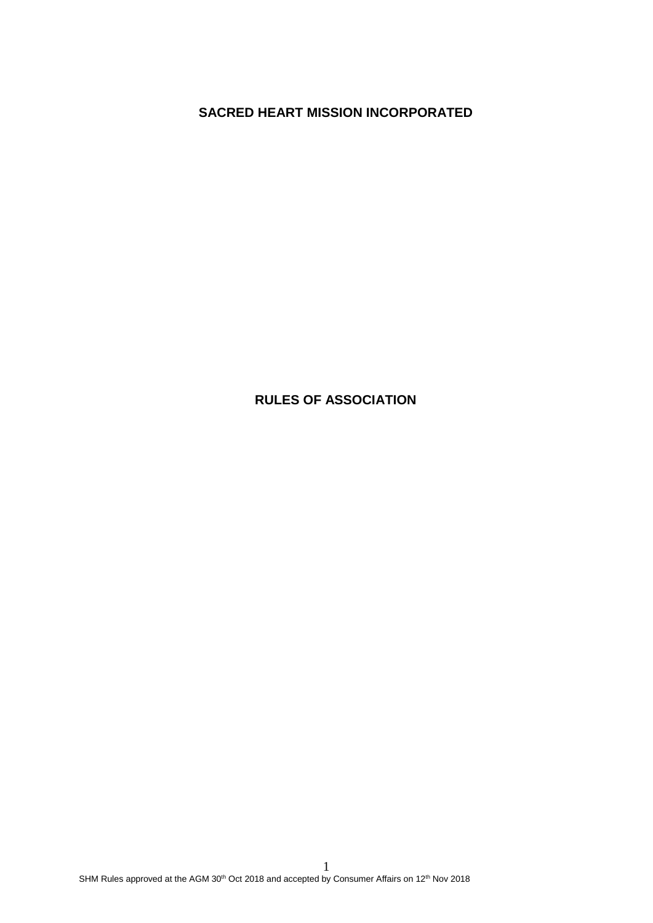**SACRED HEART MISSION INCORPORATED**

# **RULES OF ASSOCIATION**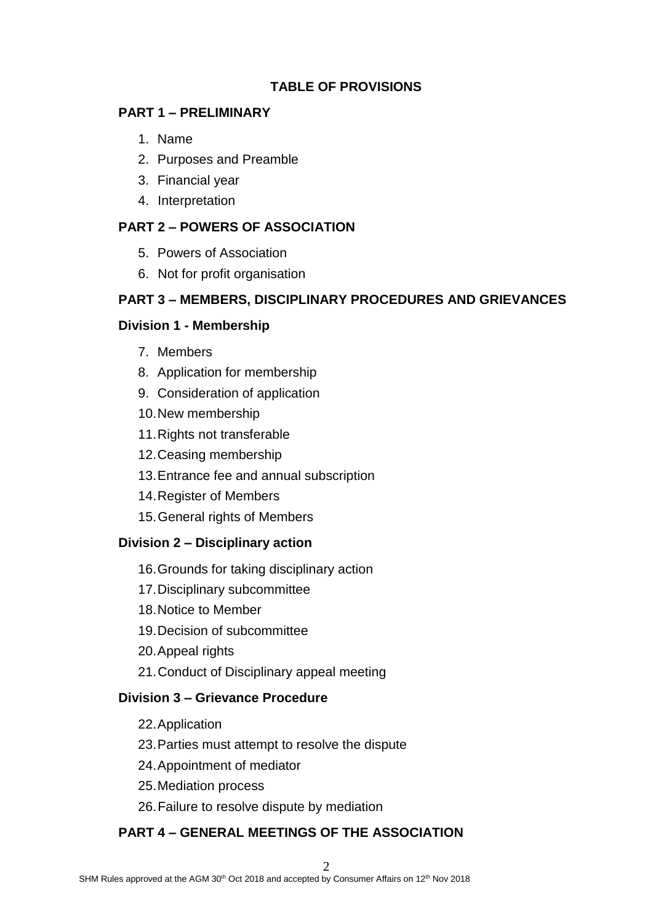# **TABLE OF PROVISIONS**

#### **PART 1 – PRELIMINARY**

- 1. Name
- 2. Purposes and Preamble
- 3. Financial year
- 4. Interpretation

# **PART 2 – POWERS OF ASSOCIATION**

- 5. Powers of Association
- 6. Not for profit organisation

# **PART 3 – MEMBERS, DISCIPLINARY PROCEDURES AND GRIEVANCES**

## **Division 1 - Membership**

- 7. Members
- 8. Application for membership
- 9. Consideration of application
- 10.New membership
- 11.Rights not transferable
- 12.Ceasing membership
- 13.Entrance fee and annual subscription
- 14.Register of Members
- 15.General rights of Members

# **Division 2 – Disciplinary action**

- 16.Grounds for taking disciplinary action
- 17.Disciplinary subcommittee
- 18.Notice to Member
- 19.Decision of subcommittee
- 20.Appeal rights
- 21.Conduct of Disciplinary appeal meeting

## **Division 3 – Grievance Procedure**

- 22.Application
- 23.Parties must attempt to resolve the dispute
- 24.Appointment of mediator
- 25.Mediation process
- 26.Failure to resolve dispute by mediation

# **PART 4 – GENERAL MEETINGS OF THE ASSOCIATION**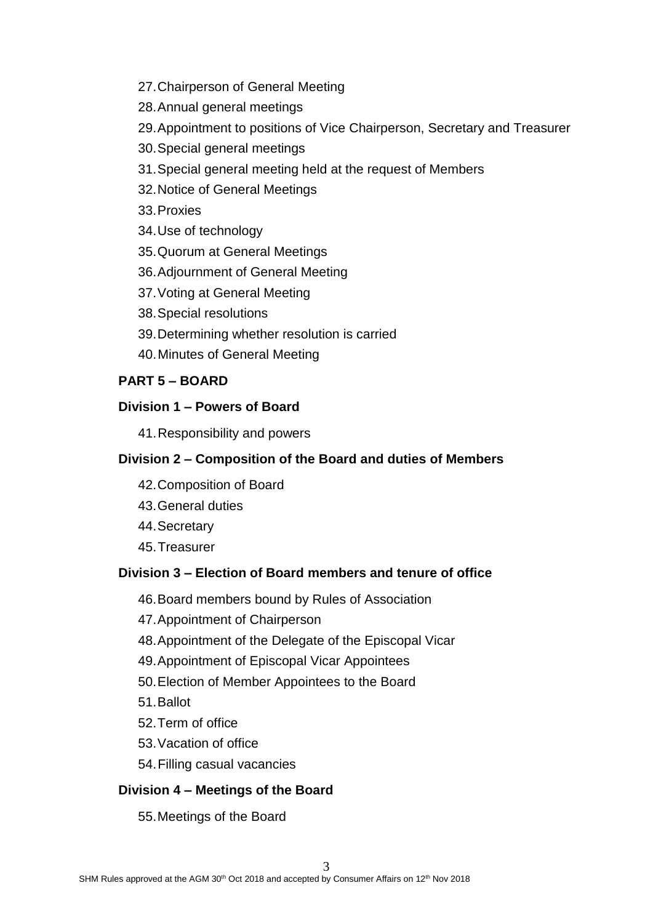- 27.Chairperson of General Meeting
- 28.Annual general meetings
- 29.Appointment to positions of Vice Chairperson, Secretary and Treasurer
- 30.Special general meetings
- 31.Special general meeting held at the request of Members
- 32.Notice of General Meetings

33.Proxies

- 34.Use of technology
- 35.Quorum at General Meetings
- 36.Adjournment of General Meeting
- 37.Voting at General Meeting
- 38.Special resolutions
- 39.Determining whether resolution is carried
- 40.Minutes of General Meeting

# **PART 5 – BOARD**

# **Division 1 – Powers of Board**

41.Responsibility and powers

# **Division 2 – Composition of the Board and duties of Members**

- 42.Composition of Board
- 43.General duties
- 44.Secretary
- 45.Treasurer

# **Division 3 – Election of Board members and tenure of office**

- 46.Board members bound by Rules of Association
- 47.Appointment of Chairperson
- 48.Appointment of the Delegate of the Episcopal Vicar
- 49.Appointment of Episcopal Vicar Appointees
- 50.Election of Member Appointees to the Board
- 51.Ballot
- 52.Term of office
- 53.Vacation of office
- 54.Filling casual vacancies

# **Division 4 – Meetings of the Board**

# 55.Meetings of the Board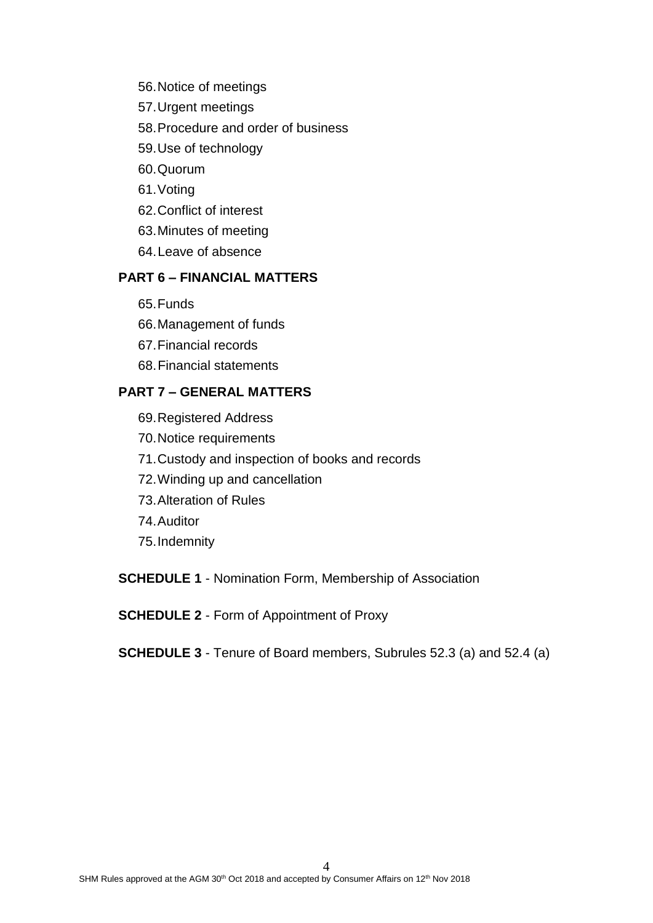- 56.Notice of meetings
- 57.Urgent meetings
- 58.Procedure and order of business
- 59.Use of technology
- 60.Quorum
- 61.Voting
- 62.Conflict of interest
- 63.Minutes of meeting
- 64.Leave of absence

# **PART 6 – FINANCIAL MATTERS**

- 65.Funds
- 66.Management of funds
- 67.Financial records
- 68.Financial statements

## **PART 7 – GENERAL MATTERS**

69.Registered Address 70.Notice requirements 71.Custody and inspection of books and records 72.Winding up and cancellation 73.Alteration of Rules 74.Auditor 75.Indemnity

**SCHEDULE 1** - Nomination Form, Membership of Association

**SCHEDULE 2** - Form of Appointment of Proxy

**SCHEDULE 3** - Tenure of Board members, Subrules 52.3 (a) and 52.4 (a)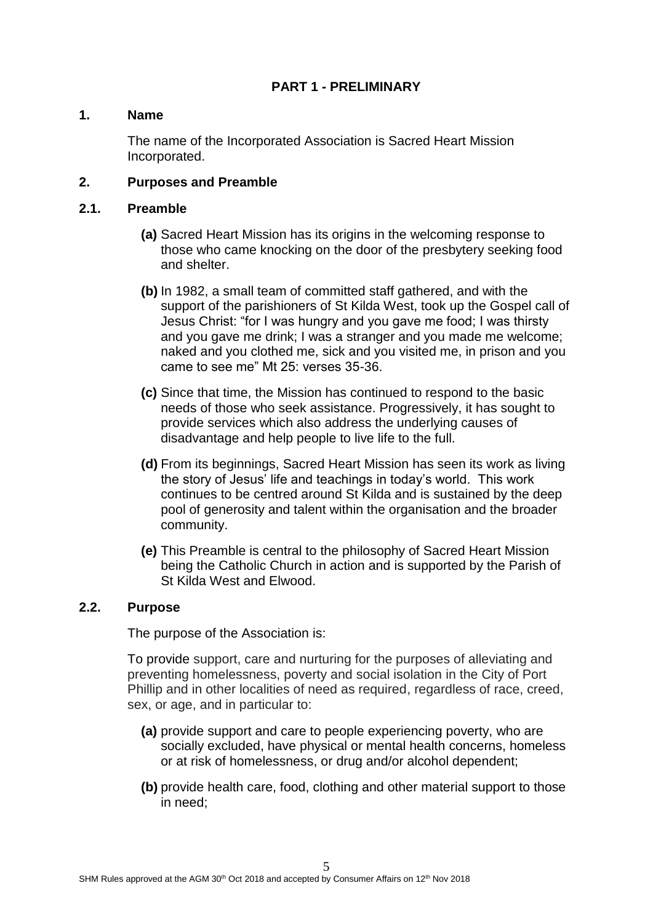# **PART 1 - PRELIMINARY**

#### **1. Name**

The name of the Incorporated Association is Sacred Heart Mission Incorporated.

#### **2. Purposes and Preamble**

#### **2.1. Preamble**

- **(a)** Sacred Heart Mission has its origins in the welcoming response to those who came knocking on the door of the presbytery seeking food and shelter.
- **(b)** In 1982, a small team of committed staff gathered, and with the support of the parishioners of St Kilda West, took up the Gospel call of Jesus Christ: "for I was hungry and you gave me food; I was thirsty and you gave me drink; I was a stranger and you made me welcome; naked and you clothed me, sick and you visited me, in prison and you came to see me" Mt 25: verses 35-36.
- **(c)** Since that time, the Mission has continued to respond to the basic needs of those who seek assistance. Progressively, it has sought to provide services which also address the underlying causes of disadvantage and help people to live life to the full.
- **(d)** From its beginnings, Sacred Heart Mission has seen its work as living the story of Jesus' life and teachings in today's world. This work continues to be centred around St Kilda and is sustained by the deep pool of generosity and talent within the organisation and the broader community.
- **(e)** This Preamble is central to the philosophy of Sacred Heart Mission being the Catholic Church in action and is supported by the Parish of St Kilda West and Elwood.

#### **2.2. Purpose**

The purpose of the Association is:

To provide support, care and nurturing for the purposes of alleviating and preventing homelessness, poverty and social isolation in the City of Port Phillip and in other localities of need as required, regardless of race, creed, sex, or age, and in particular to:

- **(a)** provide support and care to people experiencing poverty, who are socially excluded, have physical or mental health concerns, homeless or at risk of homelessness, or drug and/or alcohol dependent;
- **(b)** provide health care, food, clothing and other material support to those in need;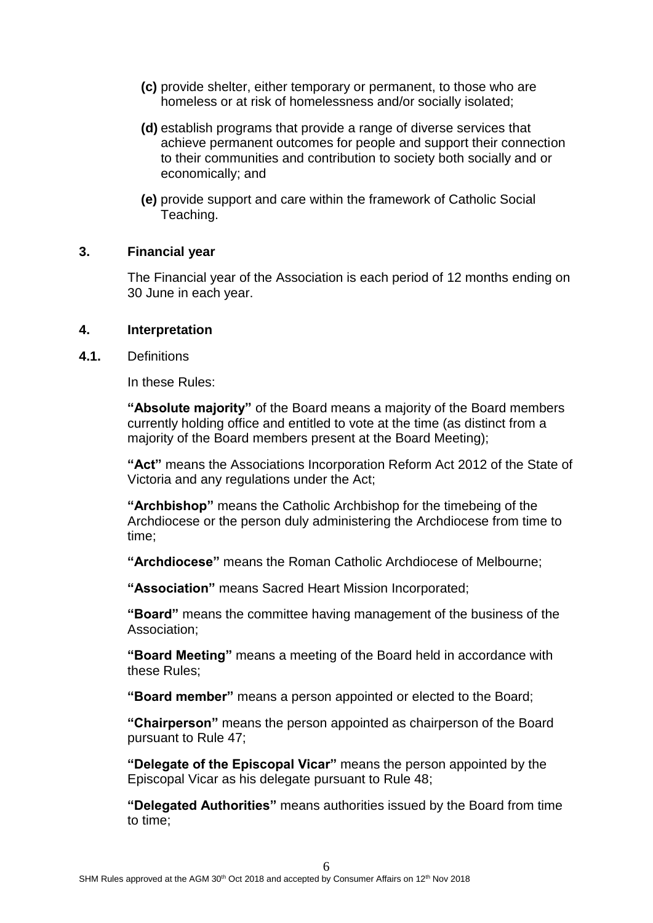- **(c)** provide shelter, either temporary or permanent, to those who are homeless or at risk of homelessness and/or socially isolated;
- **(d)** establish programs that provide a range of diverse services that achieve permanent outcomes for people and support their connection to their communities and contribution to society both socially and or economically; and
- **(e)** provide support and care within the framework of Catholic Social Teaching.

## **3. Financial year**

The Financial year of the Association is each period of 12 months ending on 30 June in each year.

#### **4. Interpretation**

**4.1.** Definitions

In these Rules:

**"Absolute majority"** of the Board means a majority of the Board members currently holding office and entitled to vote at the time (as distinct from a majority of the Board members present at the Board Meeting);

**"Act"** means the Associations Incorporation Reform Act 2012 of the State of Victoria and any regulations under the Act;

**"Archbishop"** means the Catholic Archbishop for the timebeing of the Archdiocese or the person duly administering the Archdiocese from time to time;

**"Archdiocese"** means the Roman Catholic Archdiocese of Melbourne;

**"Association"** means Sacred Heart Mission Incorporated;

**"Board"** means the committee having management of the business of the Association;

**"Board Meeting"** means a meeting of the Board held in accordance with these Rules;

**"Board member"** means a person appointed or elected to the Board;

**"Chairperson"** means the person appointed as chairperson of the Board pursuant to Rule 47;

**"Delegate of the Episcopal Vicar"** means the person appointed by the Episcopal Vicar as his delegate pursuant to Rule 48;

**"Delegated Authorities"** means authorities issued by the Board from time to time;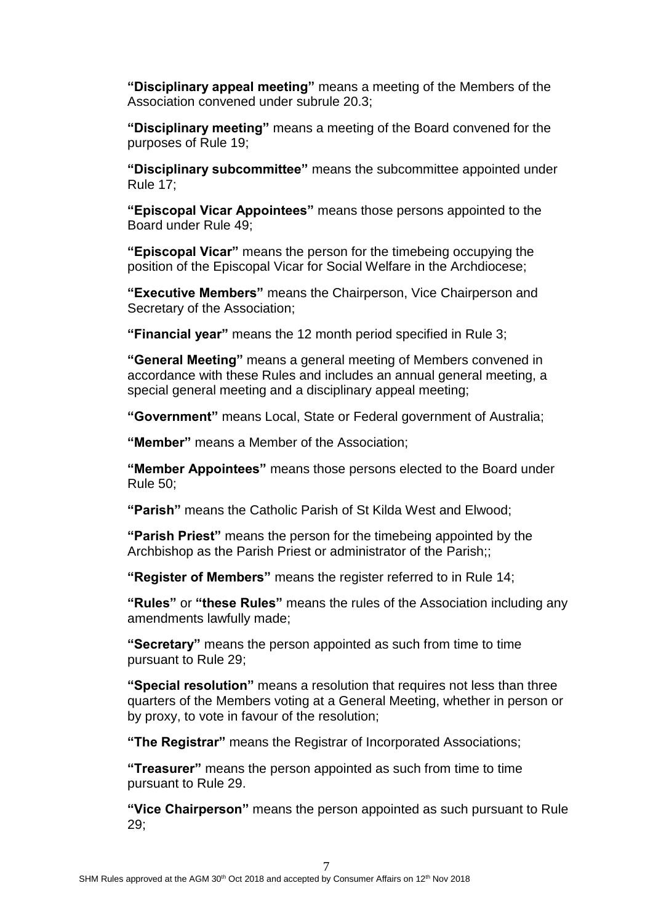**"Disciplinary appeal meeting"** means a meeting of the Members of the Association convened under subrule 20.3;

**"Disciplinary meeting"** means a meeting of the Board convened for the purposes of Rule 19;

**"Disciplinary subcommittee"** means the subcommittee appointed under Rule 17;

**"Episcopal Vicar Appointees"** means those persons appointed to the Board under Rule 49;

**"Episcopal Vicar"** means the person for the timebeing occupying the position of the Episcopal Vicar for Social Welfare in the Archdiocese;

**"Executive Members"** means the Chairperson, Vice Chairperson and Secretary of the Association;

**"Financial year"** means the 12 month period specified in Rule 3;

**"General Meeting"** means a general meeting of Members convened in accordance with these Rules and includes an annual general meeting, a special general meeting and a disciplinary appeal meeting;

**"Government"** means Local, State or Federal government of Australia;

**"Member"** means a Member of the Association;

**"Member Appointees"** means those persons elected to the Board under Rule 50;

**"Parish"** means the Catholic Parish of St Kilda West and Elwood;

**"Parish Priest"** means the person for the timebeing appointed by the Archbishop as the Parish Priest or administrator of the Parish;;

**"Register of Members"** means the register referred to in Rule 14;

**"Rules"** or **"these Rules"** means the rules of the Association including any amendments lawfully made;

**"Secretary"** means the person appointed as such from time to time pursuant to Rule 29;

**"Special resolution"** means a resolution that requires not less than three quarters of the Members voting at a General Meeting, whether in person or by proxy, to vote in favour of the resolution;

**"The Registrar"** means the Registrar of Incorporated Associations;

**"Treasurer"** means the person appointed as such from time to time pursuant to Rule 29.

**"Vice Chairperson"** means the person appointed as such pursuant to Rule 29;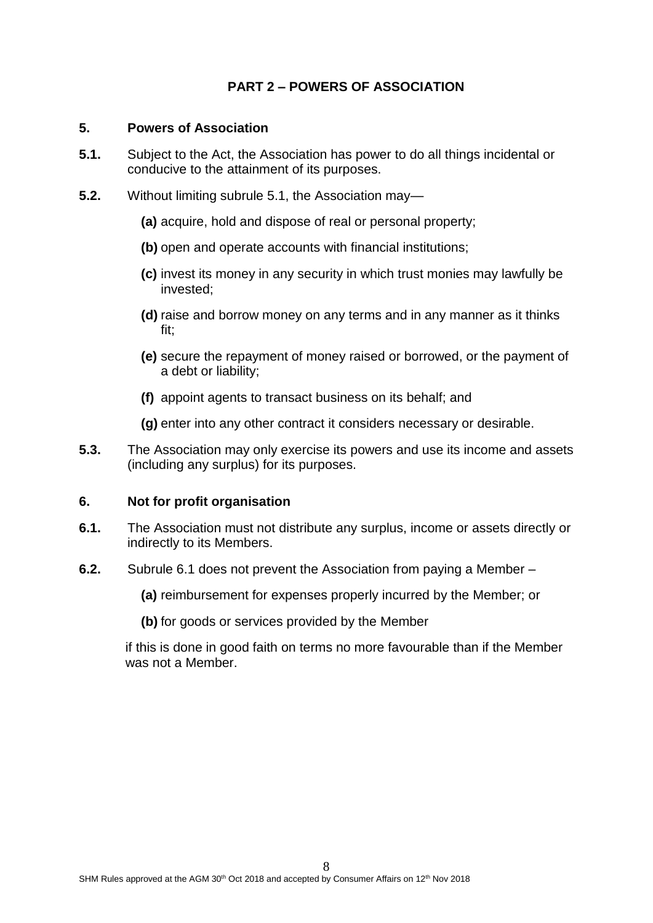# **PART 2 – POWERS OF ASSOCIATION**

#### **5. Powers of Association**

- **5.1.** Subject to the Act, the Association has power to do all things incidental or conducive to the attainment of its purposes.
- **5.2.** Without limiting subrule 5.1, the Association may—
	- **(a)** acquire, hold and dispose of real or personal property;
	- **(b)** open and operate accounts with financial institutions;
	- **(c)** invest its money in any security in which trust monies may lawfully be invested;
	- **(d)** raise and borrow money on any terms and in any manner as it thinks fit;
	- **(e)** secure the repayment of money raised or borrowed, or the payment of a debt or liability;
	- **(f)** appoint agents to transact business on its behalf; and
	- **(g)** enter into any other contract it considers necessary or desirable.
- **5.3.** The Association may only exercise its powers and use its income and assets (including any surplus) for its purposes.

#### **6. Not for profit organisation**

- **6.1.** The Association must not distribute any surplus, income or assets directly or indirectly to its Members.
- **6.2.** Subrule 6.1 does not prevent the Association from paying a Member
	- **(a)** reimbursement for expenses properly incurred by the Member; or
	- **(b)** for goods or services provided by the Member

if this is done in good faith on terms no more favourable than if the Member was not a Member.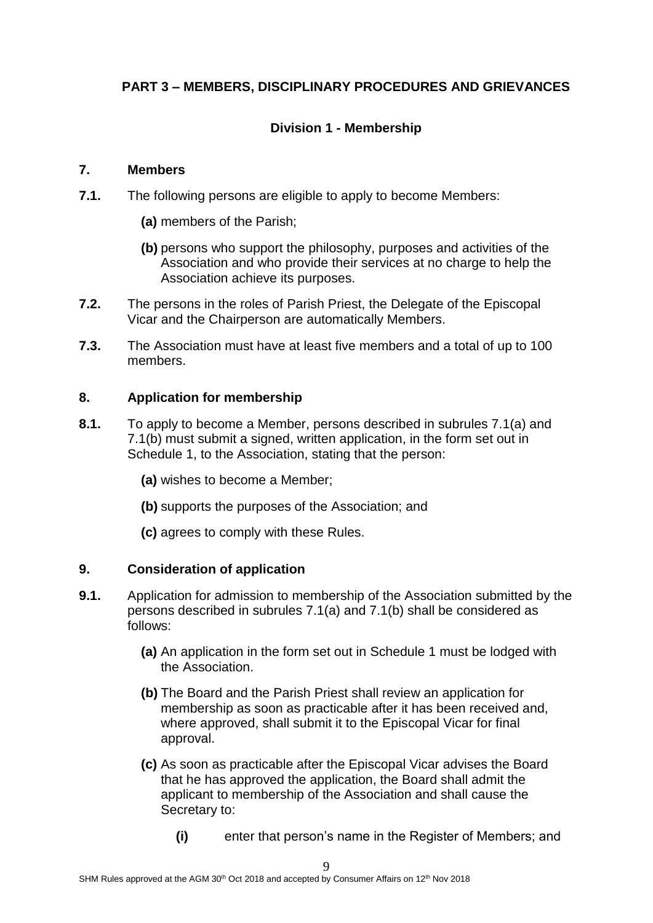# **PART 3 – MEMBERS, DISCIPLINARY PROCEDURES AND GRIEVANCES**

# **Division 1 - Membership**

## **7. Members**

- **7.1.** The following persons are eligible to apply to become Members:
	- **(a)** members of the Parish;
	- **(b)** persons who support the philosophy, purposes and activities of the Association and who provide their services at no charge to help the Association achieve its purposes.
- **7.2.** The persons in the roles of Parish Priest, the Delegate of the Episcopal Vicar and the Chairperson are automatically Members.
- **7.3.** The Association must have at least five members and a total of up to 100 members.

# **8. Application for membership**

- **8.1.** To apply to become a Member, persons described in subrules 7.1(a) and 7.1(b) must submit a signed, written application, in the form set out in Schedule 1, to the Association, stating that the person:
	- **(a)** wishes to become a Member;
	- **(b)** supports the purposes of the Association; and
	- **(c)** agrees to comply with these Rules.

# **9. Consideration of application**

- **9.1.** Application for admission to membership of the Association submitted by the persons described in subrules 7.1(a) and 7.1(b) shall be considered as follows:
	- **(a)** An application in the form set out in Schedule 1 must be lodged with the Association.
	- **(b)** The Board and the Parish Priest shall review an application for membership as soon as practicable after it has been received and, where approved, shall submit it to the Episcopal Vicar for final approval.
	- **(c)** As soon as practicable after the Episcopal Vicar advises the Board that he has approved the application, the Board shall admit the applicant to membership of the Association and shall cause the Secretary to:
		- **(i)** enter that person's name in the Register of Members; and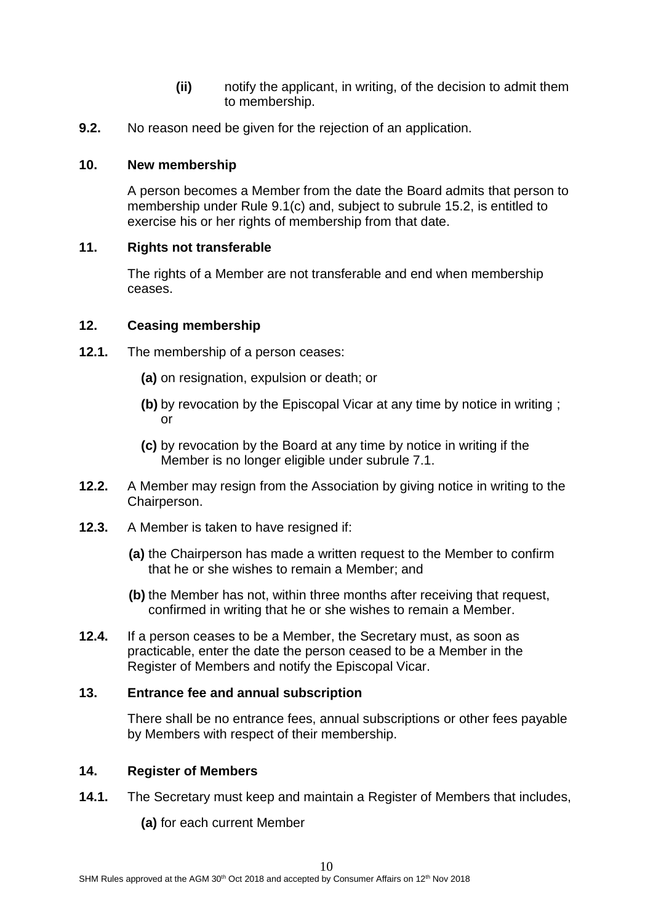- **(ii)** notify the applicant, in writing, of the decision to admit them to membership.
- **9.2.** No reason need be given for the rejection of an application.

# **10. New membership**

A person becomes a Member from the date the Board admits that person to membership under Rule 9.1(c) and, subject to subrule 15.2, is entitled to exercise his or her rights of membership from that date.

# **11. Rights not transferable**

The rights of a Member are not transferable and end when membership ceases.

# **12. Ceasing membership**

- **12.1.** The membership of a person ceases:
	- **(a)** on resignation, expulsion or death; or
	- **(b)** by revocation by the Episcopal Vicar at any time by notice in writing ; or
	- **(c)** by revocation by the Board at any time by notice in writing if the Member is no longer eligible under subrule 7.1.
- **12.2.** A Member may resign from the Association by giving notice in writing to the Chairperson.
- **12.3.** A Member is taken to have resigned if:
	- **(a)** the Chairperson has made a written request to the Member to confirm that he or she wishes to remain a Member; and
	- **(b)** the Member has not, within three months after receiving that request, confirmed in writing that he or she wishes to remain a Member.
- **12.4.** If a person ceases to be a Member, the Secretary must, as soon as practicable, enter the date the person ceased to be a Member in the Register of Members and notify the Episcopal Vicar.

# **13. Entrance fee and annual subscription**

There shall be no entrance fees, annual subscriptions or other fees payable by Members with respect of their membership.

## **14. Register of Members**

- **14.1.** The Secretary must keep and maintain a Register of Members that includes,
	- **(a)** for each current Member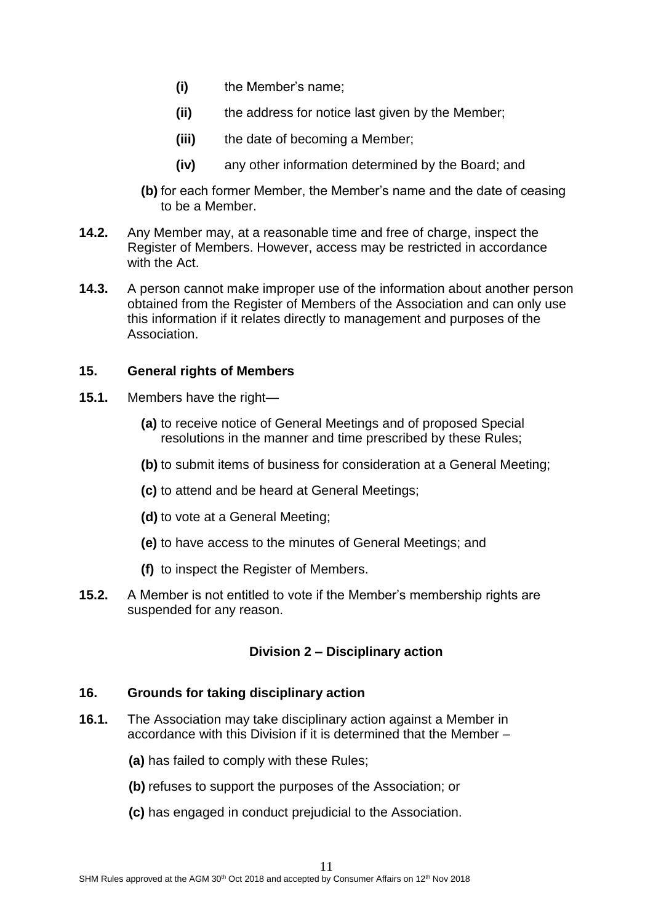- **(i)** the Member's name;
- **(ii)** the address for notice last given by the Member;
- **(iii)** the date of becoming a Member;
- **(iv)** any other information determined by the Board; and
- **(b)** for each former Member, the Member's name and the date of ceasing to be a Member.
- **14.2.** Any Member may, at a reasonable time and free of charge, inspect the Register of Members. However, access may be restricted in accordance with the Act.
- **14.3.** A person cannot make improper use of the information about another person obtained from the Register of Members of the Association and can only use this information if it relates directly to management and purposes of the Association.

## **15. General rights of Members**

- **15.1.** Members have the right—
	- **(a)** to receive notice of General Meetings and of proposed Special resolutions in the manner and time prescribed by these Rules;
	- **(b)** to submit items of business for consideration at a General Meeting;
	- **(c)** to attend and be heard at General Meetings;
	- **(d)** to vote at a General Meeting;
	- **(e)** to have access to the minutes of General Meetings; and
	- **(f)** to inspect the Register of Members.
- **15.2.** A Member is not entitled to vote if the Member's membership rights are suspended for any reason.

# **Division 2 – Disciplinary action**

## **16. Grounds for taking disciplinary action**

- **16.1.** The Association may take disciplinary action against a Member in accordance with this Division if it is determined that the Member –
	- **(a)** has failed to comply with these Rules;
	- **(b)** refuses to support the purposes of the Association; or
	- **(c)** has engaged in conduct prejudicial to the Association.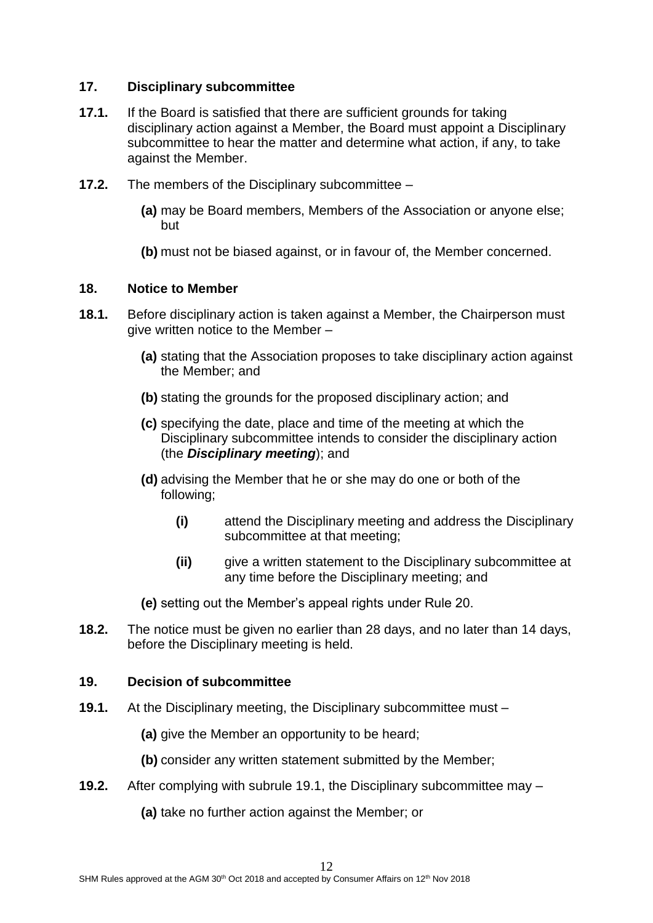#### **17. Disciplinary subcommittee**

- **17.1.** If the Board is satisfied that there are sufficient grounds for taking disciplinary action against a Member, the Board must appoint a Disciplinary subcommittee to hear the matter and determine what action, if any, to take against the Member.
- **17.2.** The members of the Disciplinary subcommittee
	- **(a)** may be Board members, Members of the Association or anyone else; but
	- **(b)** must not be biased against, or in favour of, the Member concerned.

#### **18. Notice to Member**

- **18.1.** Before disciplinary action is taken against a Member, the Chairperson must give written notice to the Member –
	- **(a)** stating that the Association proposes to take disciplinary action against the Member; and
	- **(b)** stating the grounds for the proposed disciplinary action; and
	- **(c)** specifying the date, place and time of the meeting at which the Disciplinary subcommittee intends to consider the disciplinary action (the *Disciplinary meeting*); and
	- **(d)** advising the Member that he or she may do one or both of the following;
		- **(i)** attend the Disciplinary meeting and address the Disciplinary subcommittee at that meeting;
		- **(ii)** give a written statement to the Disciplinary subcommittee at any time before the Disciplinary meeting; and
	- **(e)** setting out the Member's appeal rights under Rule 20.
- **18.2.** The notice must be given no earlier than 28 days, and no later than 14 days, before the Disciplinary meeting is held.

#### **19. Decision of subcommittee**

- **19.1.** At the Disciplinary meeting, the Disciplinary subcommittee must
	- **(a)** give the Member an opportunity to be heard;
	- **(b)** consider any written statement submitted by the Member;
- **19.2.** After complying with subrule 19.1, the Disciplinary subcommittee may
	- **(a)** take no further action against the Member; or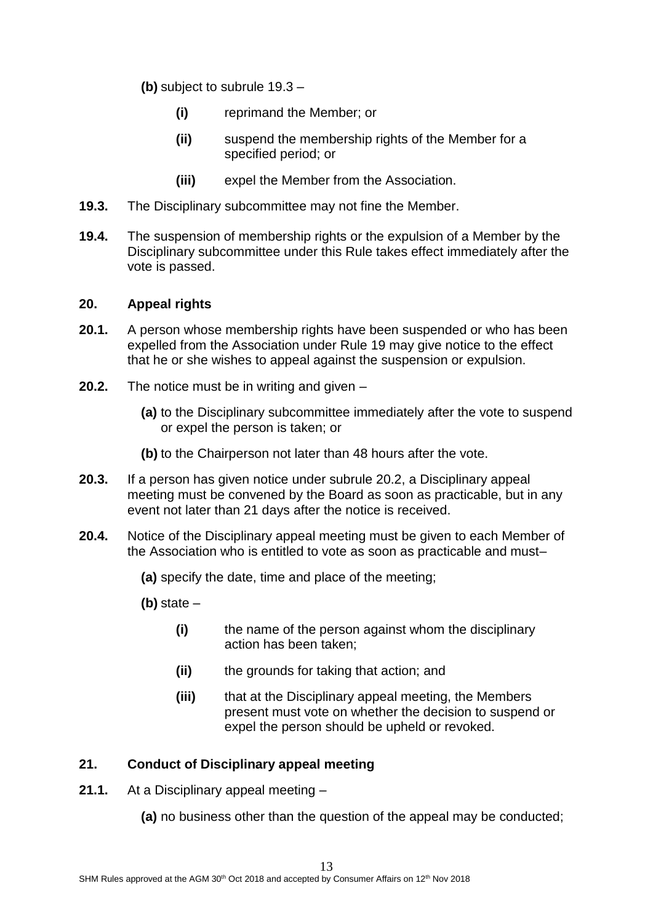**(b)** subject to subrule 19.3 –

- **(i)** reprimand the Member; or
- **(ii)** suspend the membership rights of the Member for a specified period; or
- **(iii)** expel the Member from the Association.
- **19.3.** The Disciplinary subcommittee may not fine the Member.
- **19.4.** The suspension of membership rights or the expulsion of a Member by the Disciplinary subcommittee under this Rule takes effect immediately after the vote is passed.

## **20. Appeal rights**

- **20.1.** A person whose membership rights have been suspended or who has been expelled from the Association under Rule 19 may give notice to the effect that he or she wishes to appeal against the suspension or expulsion.
- **20.2.** The notice must be in writing and given
	- **(a)** to the Disciplinary subcommittee immediately after the vote to suspend or expel the person is taken; or
	- **(b)** to the Chairperson not later than 48 hours after the vote.
- **20.3.** If a person has given notice under subrule 20.2, a Disciplinary appeal meeting must be convened by the Board as soon as practicable, but in any event not later than 21 days after the notice is received.
- **20.4.** Notice of the Disciplinary appeal meeting must be given to each Member of the Association who is entitled to vote as soon as practicable and must–
	- **(a)** specify the date, time and place of the meeting;
	- **(b)** state
		- **(i)** the name of the person against whom the disciplinary action has been taken;
		- **(ii)** the grounds for taking that action; and
		- **(iii)** that at the Disciplinary appeal meeting, the Members present must vote on whether the decision to suspend or expel the person should be upheld or revoked.

## **21. Conduct of Disciplinary appeal meeting**

- **21.1.** At a Disciplinary appeal meeting
	- **(a)** no business other than the question of the appeal may be conducted;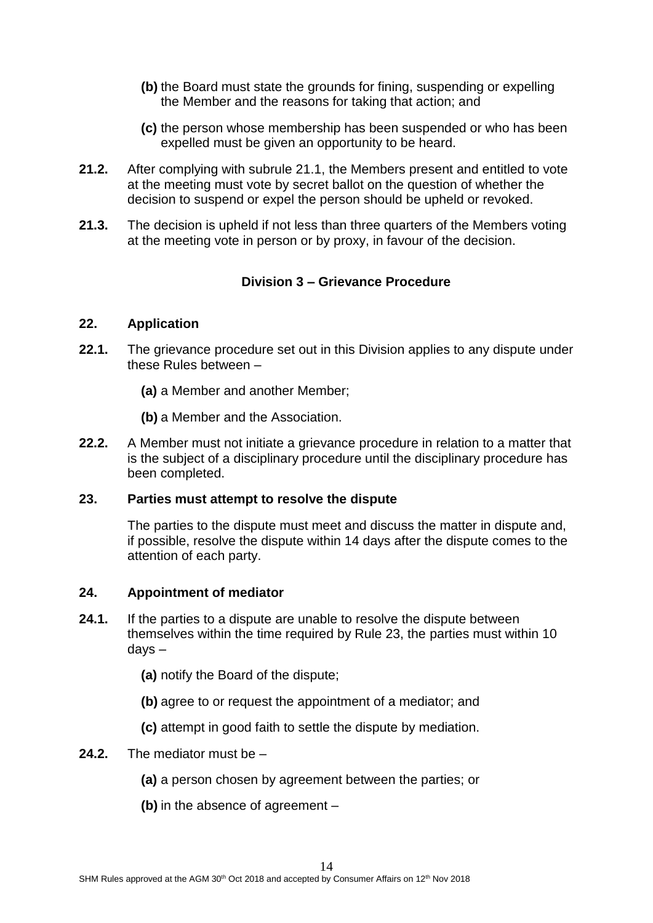- **(b)** the Board must state the grounds for fining, suspending or expelling the Member and the reasons for taking that action; and
- **(c)** the person whose membership has been suspended or who has been expelled must be given an opportunity to be heard.
- **21.2.** After complying with subrule 21.1, the Members present and entitled to vote at the meeting must vote by secret ballot on the question of whether the decision to suspend or expel the person should be upheld or revoked.
- **21.3.** The decision is upheld if not less than three quarters of the Members voting at the meeting vote in person or by proxy, in favour of the decision.

# **Division 3 – Grievance Procedure**

## **22. Application**

- **22.1.** The grievance procedure set out in this Division applies to any dispute under these Rules between –
	- **(a)** a Member and another Member;
	- **(b)** a Member and the Association.
- **22.2.** A Member must not initiate a grievance procedure in relation to a matter that is the subject of a disciplinary procedure until the disciplinary procedure has been completed.

#### **23. Parties must attempt to resolve the dispute**

The parties to the dispute must meet and discuss the matter in dispute and, if possible, resolve the dispute within 14 days after the dispute comes to the attention of each party.

#### **24. Appointment of mediator**

- **24.1.** If the parties to a dispute are unable to resolve the dispute between themselves within the time required by Rule 23, the parties must within 10 days –
	- **(a)** notify the Board of the dispute;
	- **(b)** agree to or request the appointment of a mediator; and
	- **(c)** attempt in good faith to settle the dispute by mediation.
- **24.2.** The mediator must be
	- **(a)** a person chosen by agreement between the parties; or
	- **(b)** in the absence of agreement –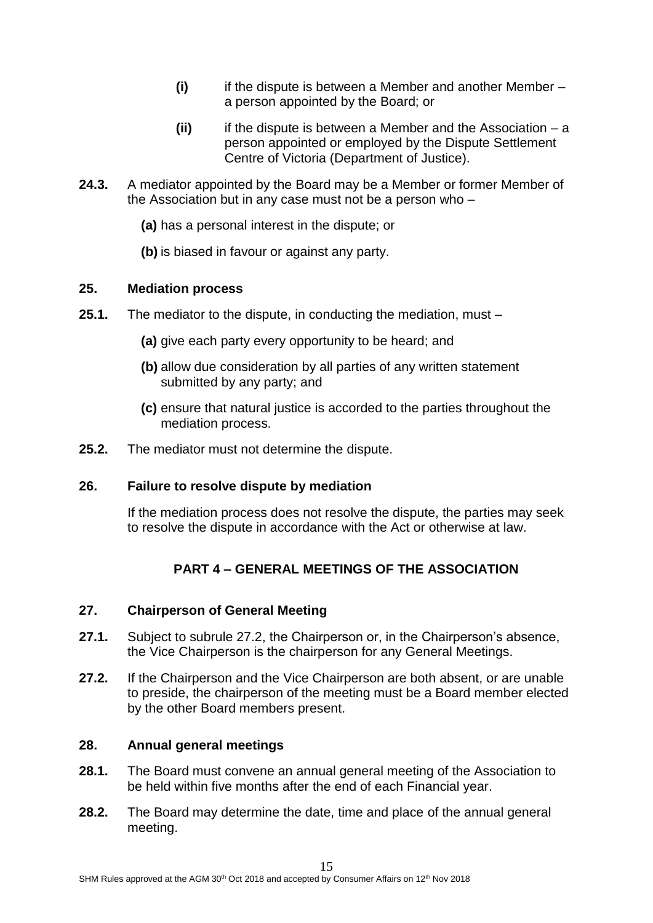- **(i)** if the dispute is between a Member and another Member a person appointed by the Board; or
- **(ii)** if the dispute is between a Member and the Association a person appointed or employed by the Dispute Settlement Centre of Victoria (Department of Justice).
- **24.3.** A mediator appointed by the Board may be a Member or former Member of the Association but in any case must not be a person who –
	- **(a)** has a personal interest in the dispute; or
	- **(b)** is biased in favour or against any party.

#### **25. Mediation process**

- **25.1.** The mediator to the dispute, in conducting the mediation, must
	- **(a)** give each party every opportunity to be heard; and
	- **(b)** allow due consideration by all parties of any written statement submitted by any party; and
	- **(c)** ensure that natural justice is accorded to the parties throughout the mediation process.
- **25.2.** The mediator must not determine the dispute.

## **26. Failure to resolve dispute by mediation**

If the mediation process does not resolve the dispute, the parties may seek to resolve the dispute in accordance with the Act or otherwise at law.

# **PART 4 – GENERAL MEETINGS OF THE ASSOCIATION**

#### **27. Chairperson of General Meeting**

- **27.1.** Subject to subrule 27.2, the Chairperson or, in the Chairperson's absence, the Vice Chairperson is the chairperson for any General Meetings.
- **27.2.** If the Chairperson and the Vice Chairperson are both absent, or are unable to preside, the chairperson of the meeting must be a Board member elected by the other Board members present.

#### **28. Annual general meetings**

- **28.1.** The Board must convene an annual general meeting of the Association to be held within five months after the end of each Financial year.
- **28.2.** The Board may determine the date, time and place of the annual general meeting.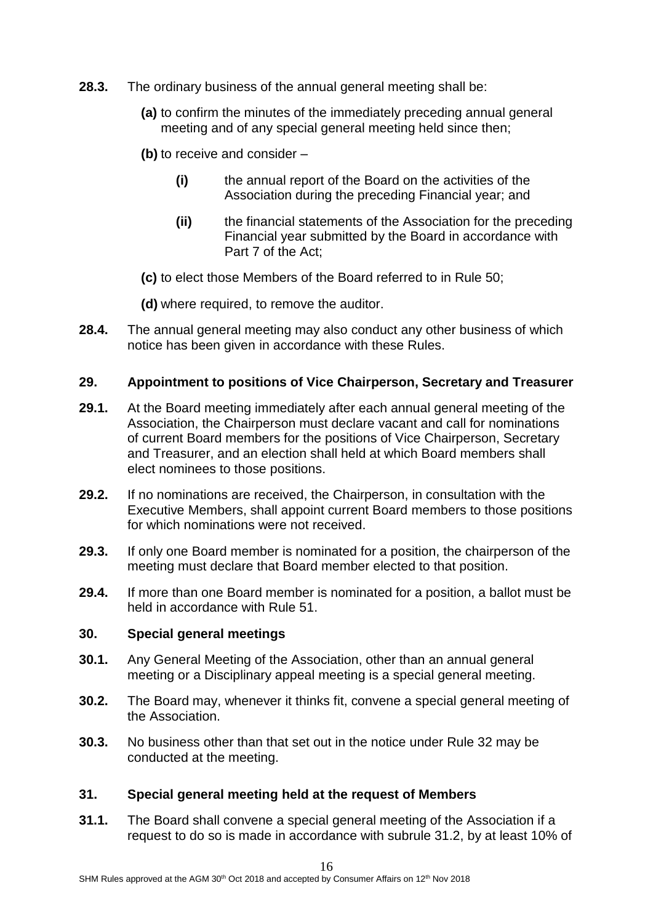- **28.3.** The ordinary business of the annual general meeting shall be:
	- **(a)** to confirm the minutes of the immediately preceding annual general meeting and of any special general meeting held since then;
	- **(b)** to receive and consider
		- **(i)** the annual report of the Board on the activities of the Association during the preceding Financial year; and
		- **(ii)** the financial statements of the Association for the preceding Financial year submitted by the Board in accordance with Part 7 of the Act;
	- **(c)** to elect those Members of the Board referred to in Rule 50;
	- **(d)** where required, to remove the auditor.
- **28.4.** The annual general meeting may also conduct any other business of which notice has been given in accordance with these Rules.

#### **29. Appointment to positions of Vice Chairperson, Secretary and Treasurer**

- **29.1.** At the Board meeting immediately after each annual general meeting of the Association, the Chairperson must declare vacant and call for nominations of current Board members for the positions of Vice Chairperson, Secretary and Treasurer, and an election shall held at which Board members shall elect nominees to those positions.
- **29.2.** If no nominations are received, the Chairperson, in consultation with the Executive Members, shall appoint current Board members to those positions for which nominations were not received.
- **29.3.** If only one Board member is nominated for a position, the chairperson of the meeting must declare that Board member elected to that position.
- **29.4.** If more than one Board member is nominated for a position, a ballot must be held in accordance with Rule 51.

#### **30. Special general meetings**

- **30.1.** Any General Meeting of the Association, other than an annual general meeting or a Disciplinary appeal meeting is a special general meeting.
- **30.2.** The Board may, whenever it thinks fit, convene a special general meeting of the Association.
- **30.3.** No business other than that set out in the notice under Rule 32 may be conducted at the meeting.

#### **31. Special general meeting held at the request of Members**

**31.1.** The Board shall convene a special general meeting of the Association if a request to do so is made in accordance with subrule 31.2, by at least 10% of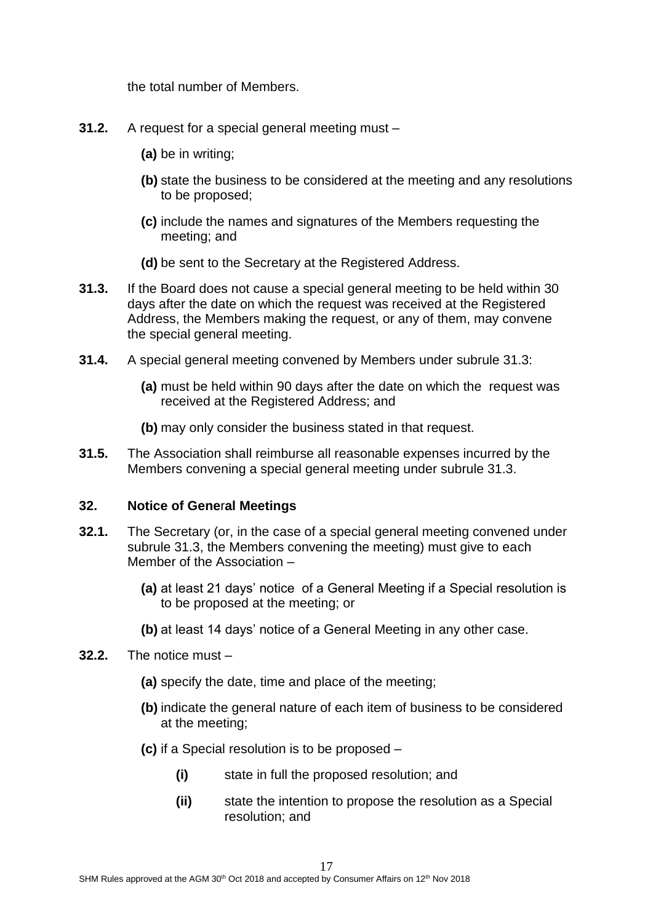the total number of Members.

- **31.2.** A request for a special general meeting must
	- **(a)** be in writing;
	- **(b)** state the business to be considered at the meeting and any resolutions to be proposed;
	- **(c)** include the names and signatures of the Members requesting the meeting; and
	- **(d)** be sent to the Secretary at the Registered Address.
- **31.3.** If the Board does not cause a special general meeting to be held within 30 days after the date on which the request was received at the Registered Address, the Members making the request, or any of them, may convene the special general meeting.
- **31.4.** A special general meeting convened by Members under subrule 31.3:
	- **(a)** must be held within 90 days after the date on which the request was received at the Registered Address; and
	- **(b)** may only consider the business stated in that request.
- **31.5.** The Association shall reimburse all reasonable expenses incurred by the Members convening a special general meeting under subrule 31.3.

## **32. Notice of Gene**r**al Meetings**

- **32.1.** The Secretary (or, in the case of a special general meeting convened under subrule 31.3, the Members convening the meeting) must give to each Member of the Association –
	- **(a)** at least 21 days' notice of a General Meeting if a Special resolution is to be proposed at the meeting; or
	- **(b)** at least 14 days' notice of a General Meeting in any other case.

#### **32.2.** The notice must –

- **(a)** specify the date, time and place of the meeting;
- **(b)** indicate the general nature of each item of business to be considered at the meeting;
- **(c)** if a Special resolution is to be proposed
	- **(i)** state in full the proposed resolution; and
	- **(ii)** state the intention to propose the resolution as a Special resolution; and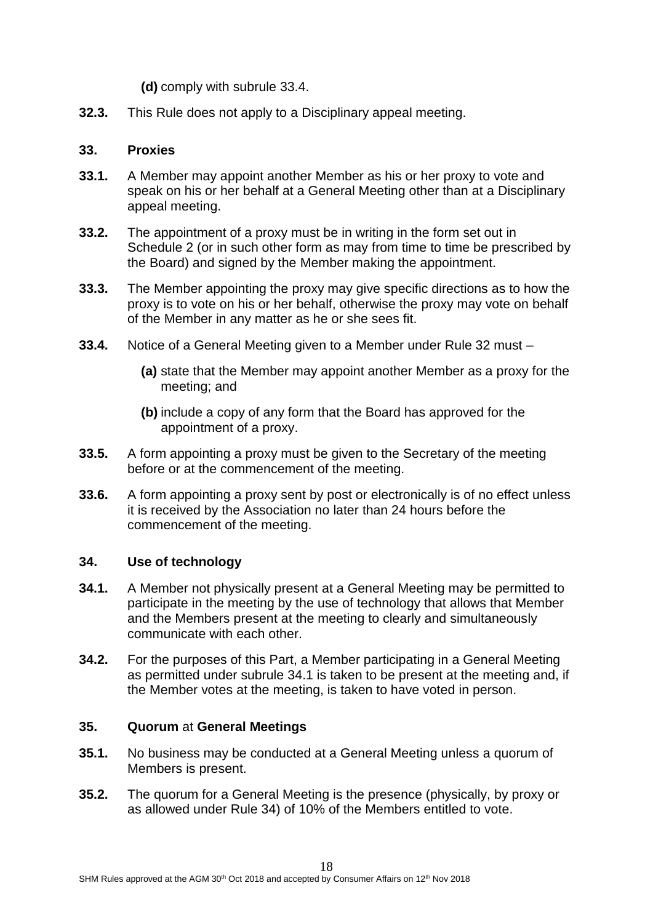**(d)** comply with subrule 33.4.

**32.3.** This Rule does not apply to a Disciplinary appeal meeting.

#### **33. Proxies**

- **33.1.** A Member may appoint another Member as his or her proxy to vote and speak on his or her behalf at a General Meeting other than at a Disciplinary appeal meeting.
- **33.2.** The appointment of a proxy must be in writing in the form set out in Schedule 2 (or in such other form as may from time to time be prescribed by the Board) and signed by the Member making the appointment.
- **33.3.** The Member appointing the proxy may give specific directions as to how the proxy is to vote on his or her behalf, otherwise the proxy may vote on behalf of the Member in any matter as he or she sees fit.
- **33.4.** Notice of a General Meeting given to a Member under Rule 32 must
	- **(a)** state that the Member may appoint another Member as a proxy for the meeting; and
	- **(b)** include a copy of any form that the Board has approved for the appointment of a proxy.
- **33.5.** A form appointing a proxy must be given to the Secretary of the meeting before or at the commencement of the meeting.
- **33.6.** A form appointing a proxy sent by post or electronically is of no effect unless it is received by the Association no later than 24 hours before the commencement of the meeting.

## **34. Use of technology**

- **34.1.** A Member not physically present at a General Meeting may be permitted to participate in the meeting by the use of technology that allows that Member and the Members present at the meeting to clearly and simultaneously communicate with each other.
- **34.2.** For the purposes of this Part, a Member participating in a General Meeting as permitted under subrule 34.1 is taken to be present at the meeting and, if the Member votes at the meeting, is taken to have voted in person.

## **35. Quorum** at **General Meetings**

- **35.1.** No business may be conducted at a General Meeting unless a quorum of Members is present.
- **35.2.** The quorum for a General Meeting is the presence (physically, by proxy or as allowed under Rule 34) of 10% of the Members entitled to vote.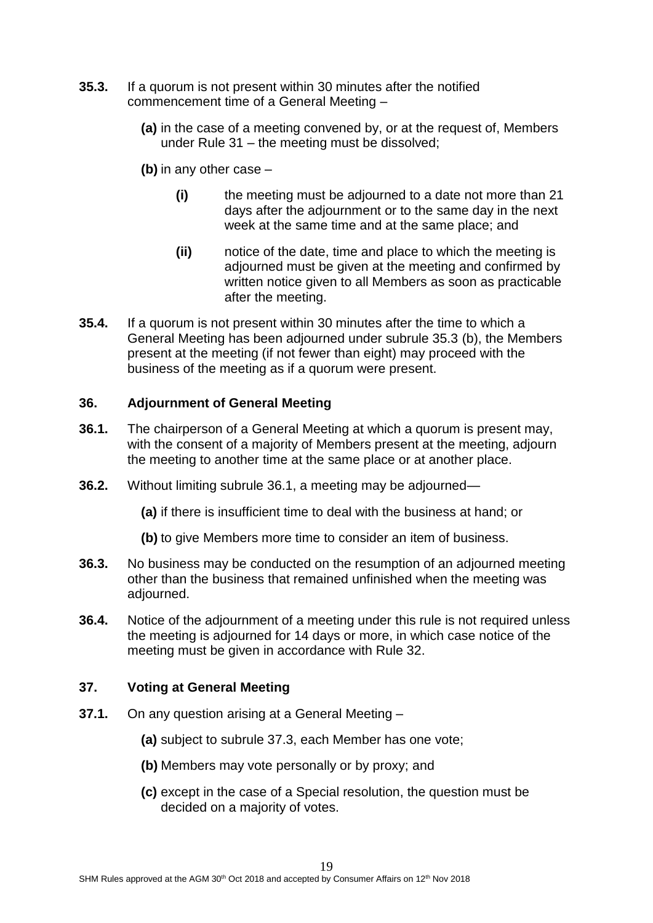- **35.3.** If a quorum is not present within 30 minutes after the notified commencement time of a General Meeting –
	- **(a)** in the case of a meeting convened by, or at the request of, Members under Rule 31 – the meeting must be dissolved;
	- **(b)** in any other case
		- **(i)** the meeting must be adjourned to a date not more than 21 days after the adjournment or to the same day in the next week at the same time and at the same place; and
		- **(ii)** notice of the date, time and place to which the meeting is adjourned must be given at the meeting and confirmed by written notice given to all Members as soon as practicable after the meeting.
- **35.4.** If a quorum is not present within 30 minutes after the time to which a General Meeting has been adjourned under subrule 35.3 (b), the Members present at the meeting (if not fewer than eight) may proceed with the business of the meeting as if a quorum were present.

## **36. Adjournment of General Meeting**

- **36.1.** The chairperson of a General Meeting at which a quorum is present may, with the consent of a majority of Members present at the meeting, adjourn the meeting to another time at the same place or at another place.
- **36.2.** Without limiting subrule 36.1, a meeting may be adjourned—
	- **(a)** if there is insufficient time to deal with the business at hand; or
	- **(b)** to give Members more time to consider an item of business.
- **36.3.** No business may be conducted on the resumption of an adjourned meeting other than the business that remained unfinished when the meeting was adjourned.
- **36.4.** Notice of the adjournment of a meeting under this rule is not required unless the meeting is adjourned for 14 days or more, in which case notice of the meeting must be given in accordance with Rule 32.

## **37. Voting at General Meeting**

- **37.1.** On any question arising at a General Meeting
	- **(a)** subject to subrule 37.3, each Member has one vote;
	- **(b)** Members may vote personally or by proxy; and
	- **(c)** except in the case of a Special resolution, the question must be decided on a majority of votes.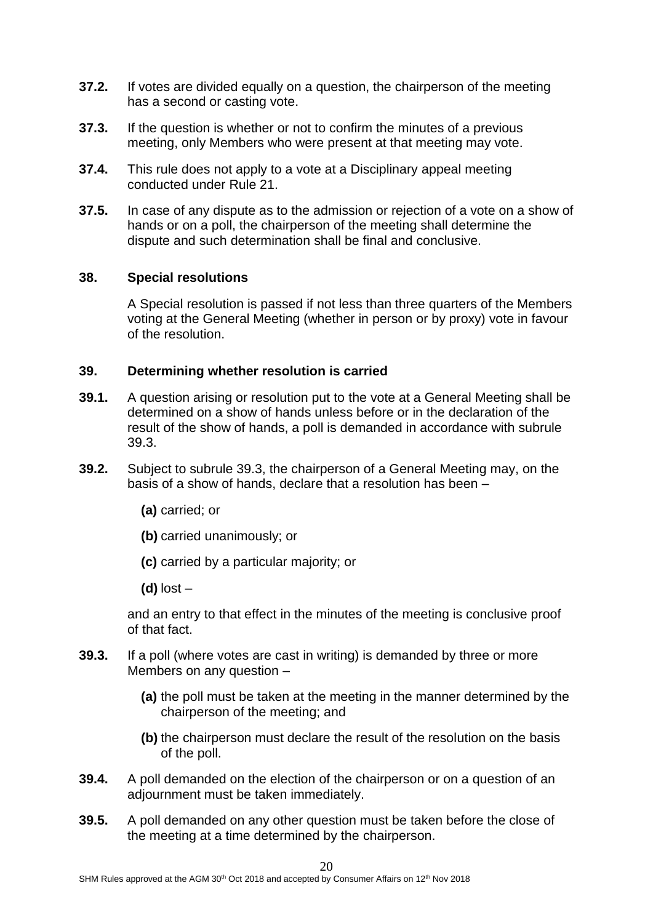- **37.2.** If votes are divided equally on a question, the chairperson of the meeting has a second or casting vote.
- **37.3.** If the question is whether or not to confirm the minutes of a previous meeting, only Members who were present at that meeting may vote.
- **37.4.** This rule does not apply to a vote at a Disciplinary appeal meeting conducted under Rule 21.
- **37.5.** In case of any dispute as to the admission or rejection of a vote on a show of hands or on a poll, the chairperson of the meeting shall determine the dispute and such determination shall be final and conclusive.

#### **38. Special resolutions**

A Special resolution is passed if not less than three quarters of the Members voting at the General Meeting (whether in person or by proxy) vote in favour of the resolution.

#### **39. Determining whether resolution is carried**

- **39.1.** A question arising or resolution put to the vote at a General Meeting shall be determined on a show of hands unless before or in the declaration of the result of the show of hands, a poll is demanded in accordance with subrule 39.3.
- **39.2.** Subject to subrule 39.3, the chairperson of a General Meeting may, on the basis of a show of hands, declare that a resolution has been –
	- **(a)** carried; or
	- **(b)** carried unanimously; or
	- **(c)** carried by a particular majority; or
	- **(d)** lost –

and an entry to that effect in the minutes of the meeting is conclusive proof of that fact.

- **39.3.** If a poll (where votes are cast in writing) is demanded by three or more Members on any question –
	- **(a)** the poll must be taken at the meeting in the manner determined by the chairperson of the meeting; and
	- **(b)** the chairperson must declare the result of the resolution on the basis of the poll.
- **39.4.** A poll demanded on the election of the chairperson or on a question of an adjournment must be taken immediately.
- **39.5.** A poll demanded on any other question must be taken before the close of the meeting at a time determined by the chairperson.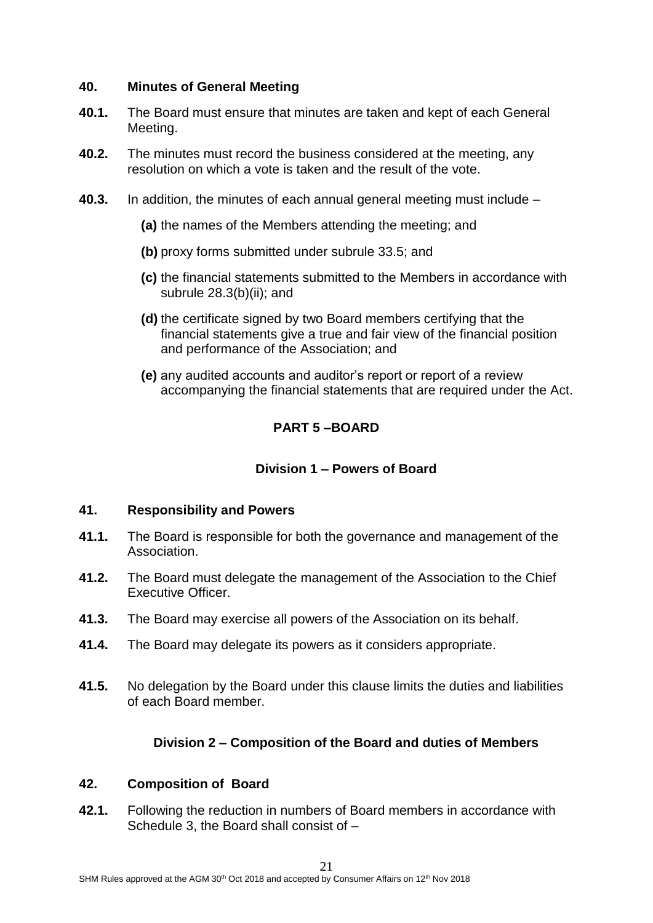#### **40. Minutes of General Meeting**

- **40.1.** The Board must ensure that minutes are taken and kept of each General Meeting.
- **40.2.** The minutes must record the business considered at the meeting, any resolution on which a vote is taken and the result of the vote.
- **40.3.** In addition, the minutes of each annual general meeting must include
	- **(a)** the names of the Members attending the meeting; and
	- **(b)** proxy forms submitted under subrule 33.5; and
	- **(c)** the financial statements submitted to the Members in accordance with subrule 28.3(b)(ii); and
	- **(d)** the certificate signed by two Board members certifying that the financial statements give a true and fair view of the financial position and performance of the Association; and
	- **(e)** any audited accounts and auditor's report or report of a review accompanying the financial statements that are required under the Act.

# **PART 5 –BOARD**

#### **Division 1 – Powers of Board**

#### **41. Responsibility and Powers**

- **41.1.** The Board is responsible for both the governance and management of the Association.
- **41.2.** The Board must delegate the management of the Association to the Chief Executive Officer.
- **41.3.** The Board may exercise all powers of the Association on its behalf.
- **41.4.** The Board may delegate its powers as it considers appropriate.
- **41.5.** No delegation by the Board under this clause limits the duties and liabilities of each Board member.

## **Division 2 – Composition of the Board and duties of Members**

#### **42. Composition of Board**

**42.1.** Following the reduction in numbers of Board members in accordance with Schedule 3, the Board shall consist of –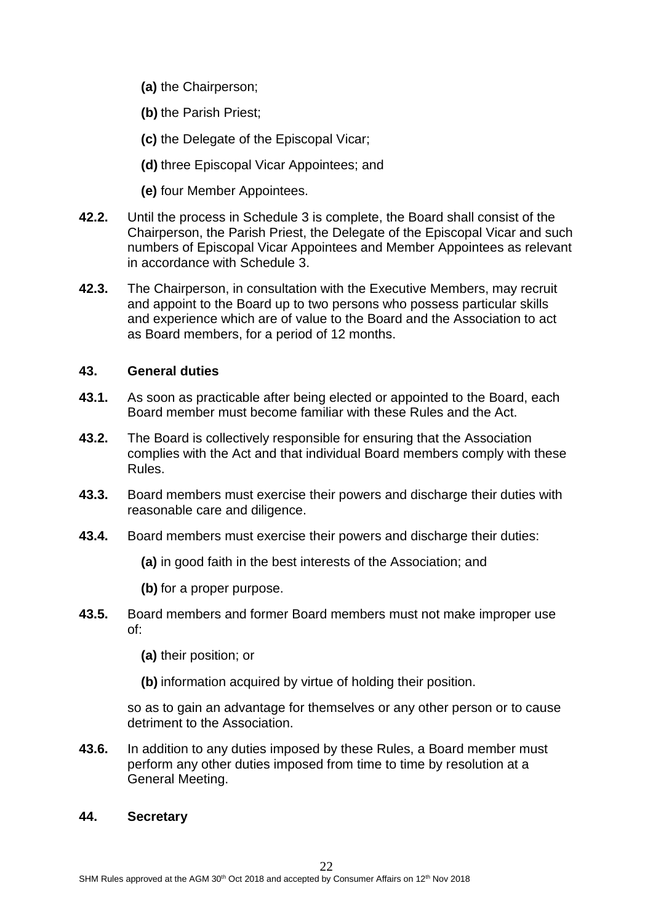- **(a)** the Chairperson;
- **(b)** the Parish Priest;
- **(c)** the Delegate of the Episcopal Vicar;
- **(d)** three Episcopal Vicar Appointees; and
- **(e)** four Member Appointees.
- **42.2.** Until the process in Schedule 3 is complete, the Board shall consist of the Chairperson, the Parish Priest, the Delegate of the Episcopal Vicar and such numbers of Episcopal Vicar Appointees and Member Appointees as relevant in accordance with Schedule 3.
- **42.3.** The Chairperson, in consultation with the Executive Members, may recruit and appoint to the Board up to two persons who possess particular skills and experience which are of value to the Board and the Association to act as Board members, for a period of 12 months.

#### **43. General duties**

- **43.1.** As soon as practicable after being elected or appointed to the Board, each Board member must become familiar with these Rules and the Act.
- **43.2.** The Board is collectively responsible for ensuring that the Association complies with the Act and that individual Board members comply with these Rules.
- **43.3.** Board members must exercise their powers and discharge their duties with reasonable care and diligence.
- **43.4.** Board members must exercise their powers and discharge their duties:
	- **(a)** in good faith in the best interests of the Association; and
	- **(b)** for a proper purpose.
- **43.5.** Board members and former Board members must not make improper use of:
	- **(a)** their position; or
	- **(b)** information acquired by virtue of holding their position.

so as to gain an advantage for themselves or any other person or to cause detriment to the Association.

**43.6.** In addition to any duties imposed by these Rules, a Board member must perform any other duties imposed from time to time by resolution at a General Meeting.

#### **44. Secretary**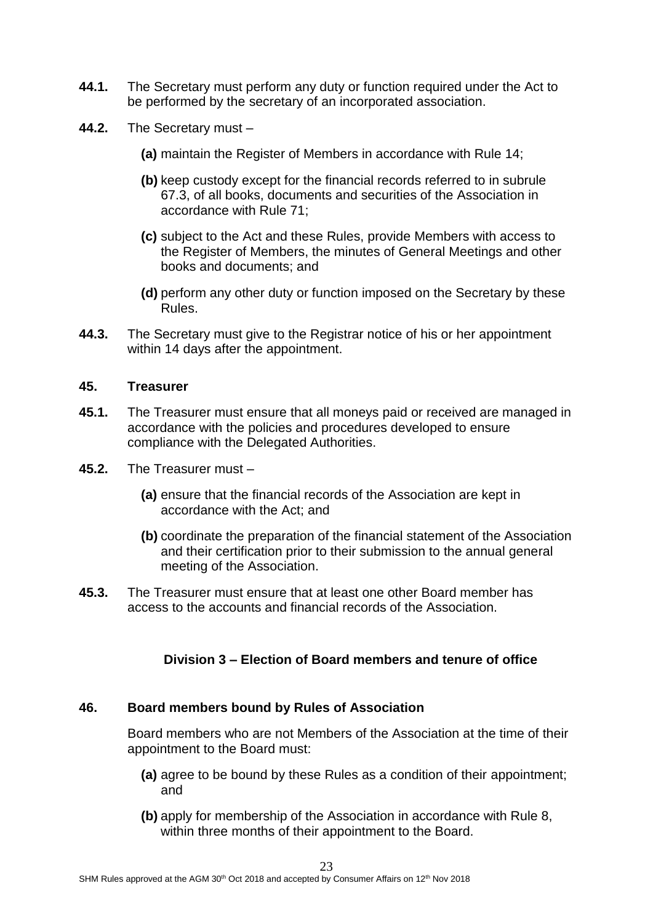- **44.1.** The Secretary must perform any duty or function required under the Act to be performed by the secretary of an incorporated association.
- **44.2.** The Secretary must
	- **(a)** maintain the Register of Members in accordance with Rule 14;
	- **(b)** keep custody except for the financial records referred to in subrule 67.3, of all books, documents and securities of the Association in accordance with Rule 71;
	- **(c)** subject to the Act and these Rules, provide Members with access to the Register of Members, the minutes of General Meetings and other books and documents; and
	- **(d)** perform any other duty or function imposed on the Secretary by these Rules.
- **44.3.** The Secretary must give to the Registrar notice of his or her appointment within 14 days after the appointment.

#### **45. Treasurer**

- **45.1.** The Treasurer must ensure that all moneys paid or received are managed in accordance with the policies and procedures developed to ensure compliance with the Delegated Authorities.
- **45.2.** The Treasurer must
	- **(a)** ensure that the financial records of the Association are kept in accordance with the Act; and
	- **(b)** coordinate the preparation of the financial statement of the Association and their certification prior to their submission to the annual general meeting of the Association.
- **45.3.** The Treasurer must ensure that at least one other Board member has access to the accounts and financial records of the Association.

#### **Division 3 – Election of Board members and tenure of office**

#### **46. Board members bound by Rules of Association**

Board members who are not Members of the Association at the time of their appointment to the Board must:

- **(a)** agree to be bound by these Rules as a condition of their appointment: and
- **(b)** apply for membership of the Association in accordance with Rule 8, within three months of their appointment to the Board.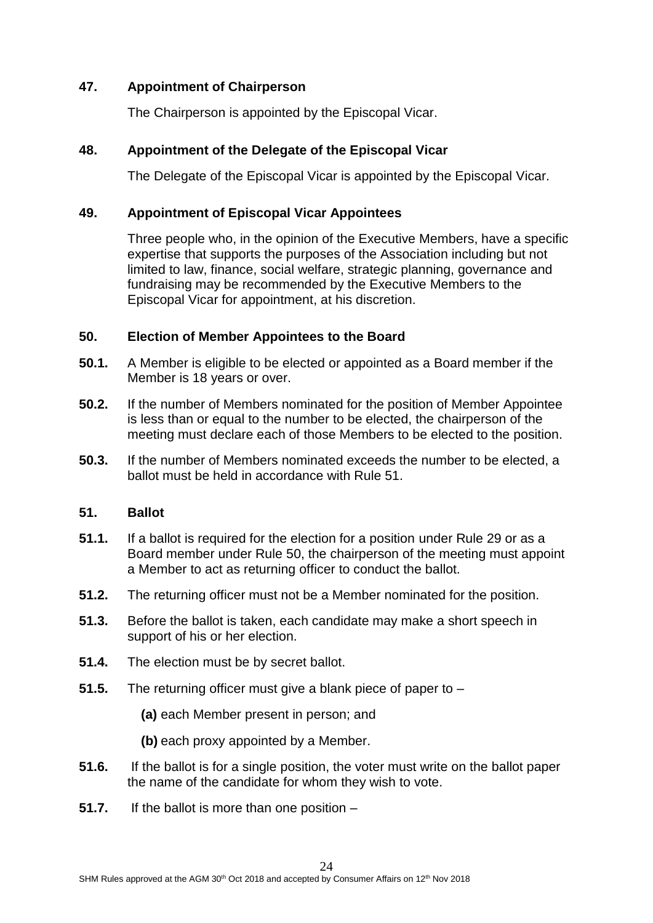## **47. Appointment of Chairperson**

The Chairperson is appointed by the Episcopal Vicar.

# **48. Appointment of the Delegate of the Episcopal Vicar**

The Delegate of the Episcopal Vicar is appointed by the Episcopal Vicar.

## **49. Appointment of Episcopal Vicar Appointees**

Three people who, in the opinion of the Executive Members, have a specific expertise that supports the purposes of the Association including but not limited to law, finance, social welfare, strategic planning, governance and fundraising may be recommended by the Executive Members to the Episcopal Vicar for appointment, at his discretion.

# **50. Election of Member Appointees to the Board**

- **50.1.** A Member is eligible to be elected or appointed as a Board member if the Member is 18 years or over.
- **50.2.** If the number of Members nominated for the position of Member Appointee is less than or equal to the number to be elected, the chairperson of the meeting must declare each of those Members to be elected to the position.
- **50.3.** If the number of Members nominated exceeds the number to be elected, a ballot must be held in accordance with Rule 51.

## **51. Ballot**

- **51.1.** If a ballot is required for the election for a position under Rule 29 or as a Board member under Rule 50, the chairperson of the meeting must appoint a Member to act as returning officer to conduct the ballot.
- **51.2.** The returning officer must not be a Member nominated for the position.
- **51.3.** Before the ballot is taken, each candidate may make a short speech in support of his or her election.
- **51.4.** The election must be by secret ballot.
- **51.5.** The returning officer must give a blank piece of paper to
	- **(a)** each Member present in person; and
	- **(b)** each proxy appointed by a Member.
- **51.6.** If the ballot is for a single position, the voter must write on the ballot paper the name of the candidate for whom they wish to vote.
- **51.7.** If the ballot is more than one position –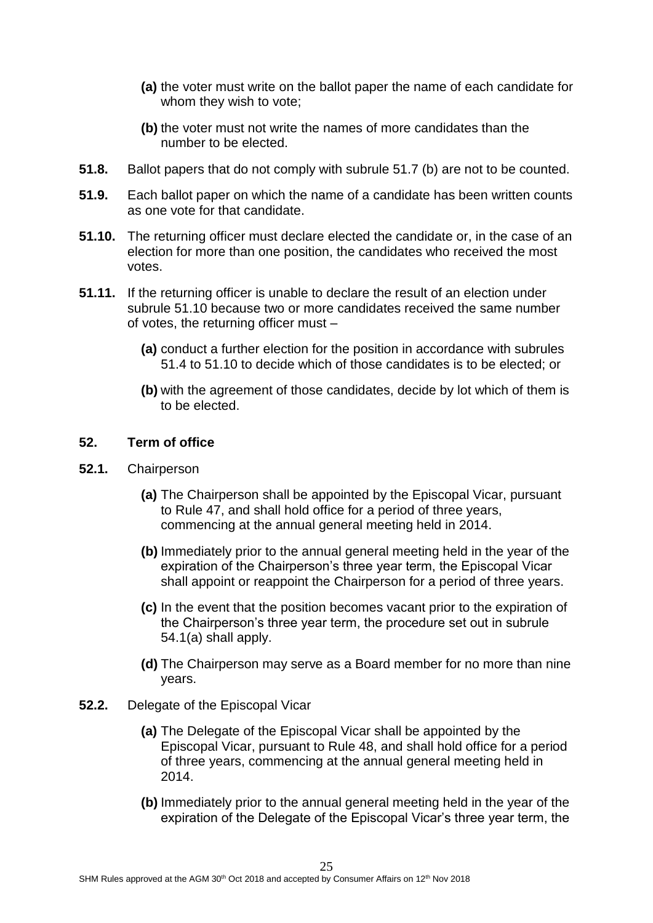- **(a)** the voter must write on the ballot paper the name of each candidate for whom they wish to vote;
- **(b)** the voter must not write the names of more candidates than the number to be elected.
- **51.8.** Ballot papers that do not comply with subrule 51.7 (b) are not to be counted.
- **51.9.** Each ballot paper on which the name of a candidate has been written counts as one vote for that candidate.
- **51.10.** The returning officer must declare elected the candidate or, in the case of an election for more than one position, the candidates who received the most votes.
- **51.11.** If the returning officer is unable to declare the result of an election under subrule 51.10 because two or more candidates received the same number of votes, the returning officer must –
	- **(a)** conduct a further election for the position in accordance with subrules 51.4 to 51.10 to decide which of those candidates is to be elected; or
	- **(b)** with the agreement of those candidates, decide by lot which of them is to be elected.

## **52. Term of office**

- **52.1.** Chairperson
	- **(a)** The Chairperson shall be appointed by the Episcopal Vicar, pursuant to Rule 47, and shall hold office for a period of three years, commencing at the annual general meeting held in 2014.
	- **(b)** Immediately prior to the annual general meeting held in the year of the expiration of the Chairperson's three year term, the Episcopal Vicar shall appoint or reappoint the Chairperson for a period of three years.
	- **(c)** In the event that the position becomes vacant prior to the expiration of the Chairperson's three year term, the procedure set out in subrule 54.1(a) shall apply.
	- **(d)** The Chairperson may serve as a Board member for no more than nine years.
- **52.2.** Delegate of the Episcopal Vicar
	- **(a)** The Delegate of the Episcopal Vicar shall be appointed by the Episcopal Vicar, pursuant to Rule 48, and shall hold office for a period of three years, commencing at the annual general meeting held in 2014.
	- **(b)** Immediately prior to the annual general meeting held in the year of the expiration of the Delegate of the Episcopal Vicar's three year term, the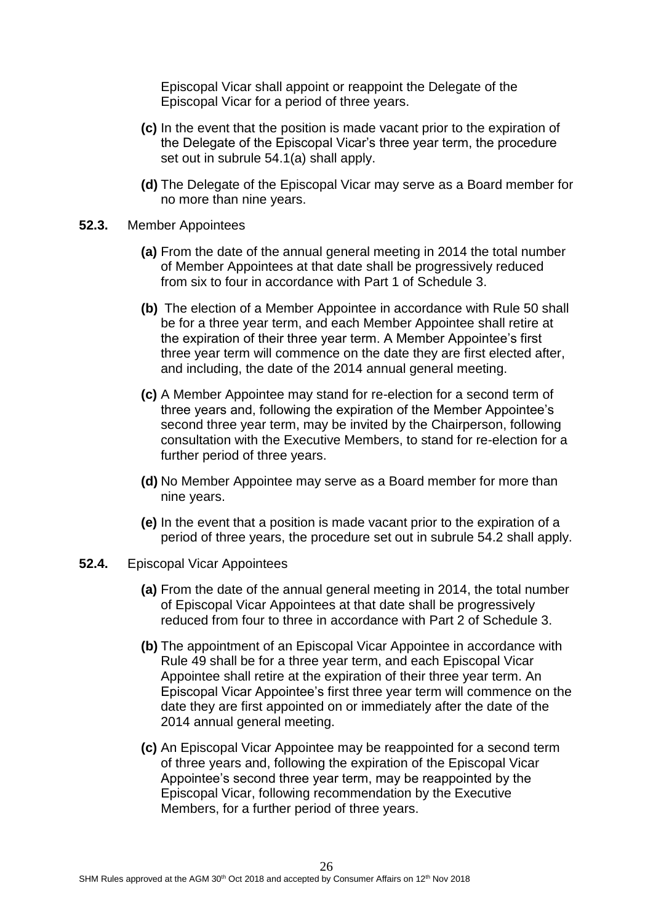Episcopal Vicar shall appoint or reappoint the Delegate of the Episcopal Vicar for a period of three years.

- **(c)** In the event that the position is made vacant prior to the expiration of the Delegate of the Episcopal Vicar's three year term, the procedure set out in subrule 54.1(a) shall apply.
- **(d)** The Delegate of the Episcopal Vicar may serve as a Board member for no more than nine years.
- **52.3.** Member Appointees
	- **(a)** From the date of the annual general meeting in 2014 the total number of Member Appointees at that date shall be progressively reduced from six to four in accordance with Part 1 of Schedule 3.
	- **(b)** The election of a Member Appointee in accordance with Rule 50 shall be for a three year term, and each Member Appointee shall retire at the expiration of their three year term. A Member Appointee's first three year term will commence on the date they are first elected after, and including, the date of the 2014 annual general meeting.
	- **(c)** A Member Appointee may stand for re-election for a second term of three years and, following the expiration of the Member Appointee's second three year term, may be invited by the Chairperson, following consultation with the Executive Members, to stand for re-election for a further period of three years.
	- **(d)** No Member Appointee may serve as a Board member for more than nine years.
	- **(e)** In the event that a position is made vacant prior to the expiration of a period of three years, the procedure set out in subrule 54.2 shall apply.
- **52.4.** Episcopal Vicar Appointees
	- **(a)** From the date of the annual general meeting in 2014, the total number of Episcopal Vicar Appointees at that date shall be progressively reduced from four to three in accordance with Part 2 of Schedule 3.
	- **(b)** The appointment of an Episcopal Vicar Appointee in accordance with Rule 49 shall be for a three year term, and each Episcopal Vicar Appointee shall retire at the expiration of their three year term. An Episcopal Vicar Appointee's first three year term will commence on the date they are first appointed on or immediately after the date of the 2014 annual general meeting.
	- **(c)** An Episcopal Vicar Appointee may be reappointed for a second term of three years and, following the expiration of the Episcopal Vicar Appointee's second three year term, may be reappointed by the Episcopal Vicar, following recommendation by the Executive Members, for a further period of three years.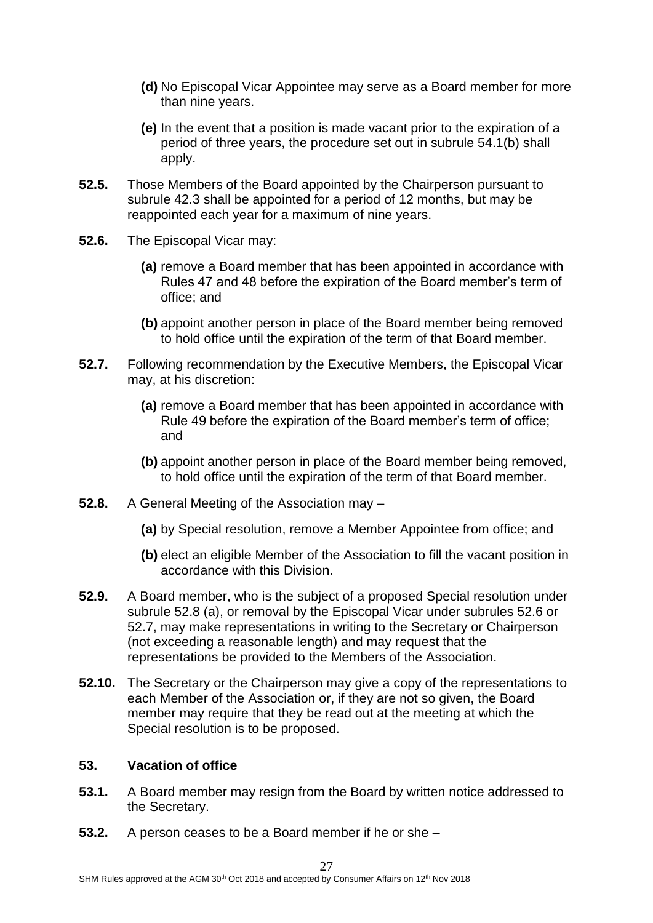- **(d)** No Episcopal Vicar Appointee may serve as a Board member for more than nine years.
- **(e)** In the event that a position is made vacant prior to the expiration of a period of three years, the procedure set out in subrule 54.1(b) shall apply.
- **52.5.** Those Members of the Board appointed by the Chairperson pursuant to subrule 42.3 shall be appointed for a period of 12 months, but may be reappointed each year for a maximum of nine years.
- **52.6.** The Episcopal Vicar may:
	- **(a)** remove a Board member that has been appointed in accordance with Rules 47 and 48 before the expiration of the Board member's term of office; and
	- **(b)** appoint another person in place of the Board member being removed to hold office until the expiration of the term of that Board member.
- **52.7.** Following recommendation by the Executive Members, the Episcopal Vicar may, at his discretion:
	- **(a)** remove a Board member that has been appointed in accordance with Rule 49 before the expiration of the Board member's term of office; and
	- **(b)** appoint another person in place of the Board member being removed, to hold office until the expiration of the term of that Board member.
- **52.8.** A General Meeting of the Association may
	- **(a)** by Special resolution, remove a Member Appointee from office; and
	- **(b)** elect an eligible Member of the Association to fill the vacant position in accordance with this Division.
- **52.9.** A Board member, who is the subject of a proposed Special resolution under subrule 52.8 (a), or removal by the Episcopal Vicar under subrules 52.6 or 52.7, may make representations in writing to the Secretary or Chairperson (not exceeding a reasonable length) and may request that the representations be provided to the Members of the Association.
- **52.10.** The Secretary or the Chairperson may give a copy of the representations to each Member of the Association or, if they are not so given, the Board member may require that they be read out at the meeting at which the Special resolution is to be proposed.

## **53. Vacation of office**

- **53.1.** A Board member may resign from the Board by written notice addressed to the Secretary.
- **53.2.** A person ceases to be a Board member if he or she –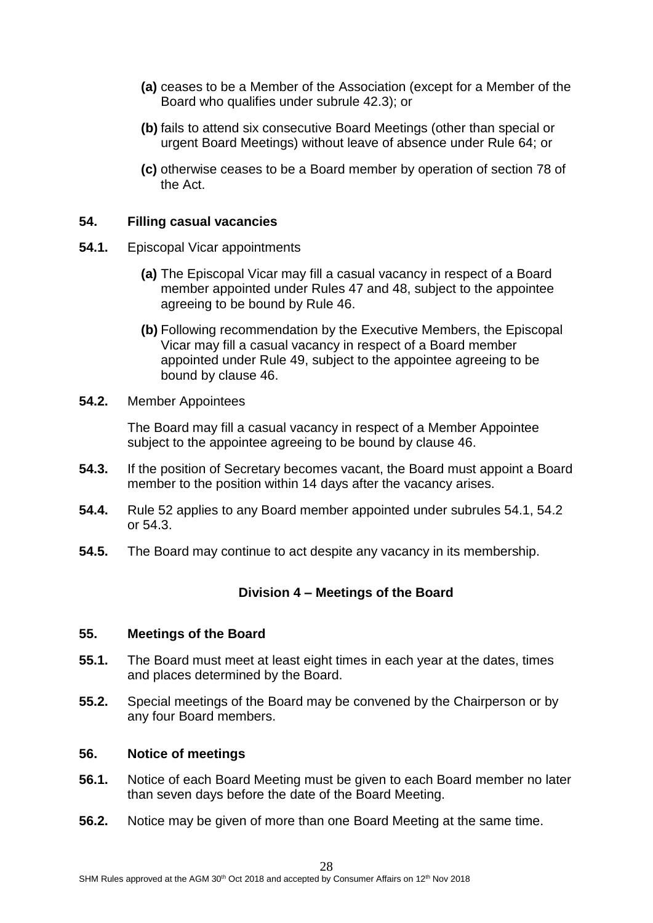- **(a)** ceases to be a Member of the Association (except for a Member of the Board who qualifies under subrule 42.3); or
- **(b)** fails to attend six consecutive Board Meetings (other than special or urgent Board Meetings) without leave of absence under Rule 64; or
- **(c)** otherwise ceases to be a Board member by operation of section 78 of the Act.

#### **54. Filling casual vacancies**

- **54.1.** Episcopal Vicar appointments
	- **(a)** The Episcopal Vicar may fill a casual vacancy in respect of a Board member appointed under Rules 47 and 48, subject to the appointee agreeing to be bound by Rule 46.
	- **(b)** Following recommendation by the Executive Members, the Episcopal Vicar may fill a casual vacancy in respect of a Board member appointed under Rule 49, subject to the appointee agreeing to be bound by clause 46.
- **54.2.** Member Appointees

The Board may fill a casual vacancy in respect of a Member Appointee subject to the appointee agreeing to be bound by clause 46.

- **54.3.** If the position of Secretary becomes vacant, the Board must appoint a Board member to the position within 14 days after the vacancy arises.
- **54.4.** Rule 52 applies to any Board member appointed under subrules 54.1, 54.2 or 54.3.
- **54.5.** The Board may continue to act despite any vacancy in its membership.

## **Division 4 – Meetings of the Board**

#### **55. Meetings of the Board**

- **55.1.** The Board must meet at least eight times in each year at the dates, times and places determined by the Board.
- **55.2.** Special meetings of the Board may be convened by the Chairperson or by any four Board members.

#### **56. Notice of meetings**

- **56.1.** Notice of each Board Meeting must be given to each Board member no later than seven days before the date of the Board Meeting.
- **56.2.** Notice may be given of more than one Board Meeting at the same time.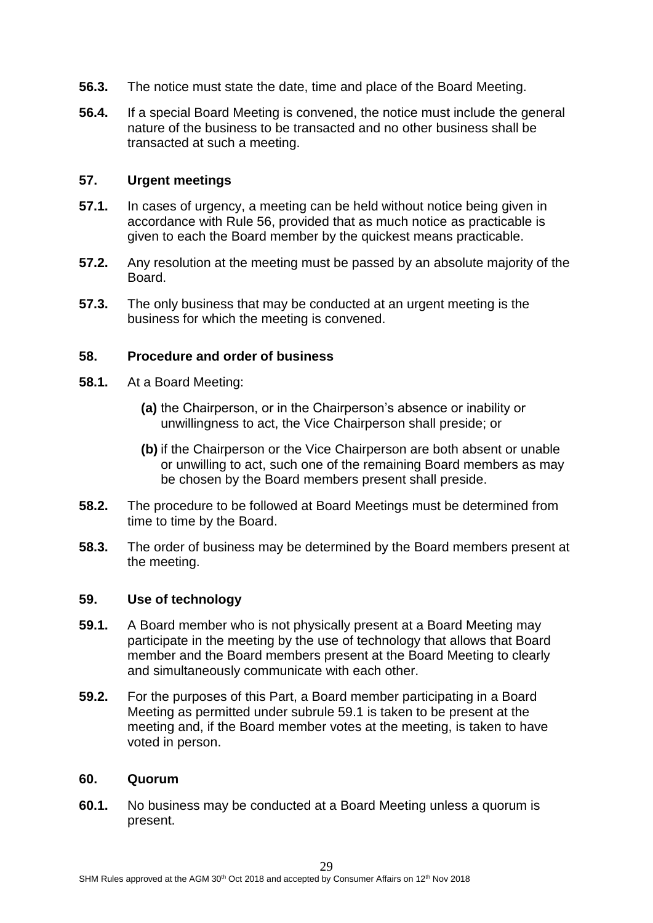- **56.3.** The notice must state the date, time and place of the Board Meeting.
- **56.4.** If a special Board Meeting is convened, the notice must include the general nature of the business to be transacted and no other business shall be transacted at such a meeting.

#### **57. Urgent meetings**

- **57.1.** In cases of urgency, a meeting can be held without notice being given in accordance with Rule 56, provided that as much notice as practicable is given to each the Board member by the quickest means practicable.
- **57.2.** Any resolution at the meeting must be passed by an absolute majority of the Board.
- **57.3.** The only business that may be conducted at an urgent meeting is the business for which the meeting is convened.

#### **58. Procedure and order of business**

- **58.1.** At a Board Meeting:
	- **(a)** the Chairperson, or in the Chairperson's absence or inability or unwillingness to act, the Vice Chairperson shall preside; or
	- **(b)** if the Chairperson or the Vice Chairperson are both absent or unable or unwilling to act, such one of the remaining Board members as may be chosen by the Board members present shall preside.
- **58.2.** The procedure to be followed at Board Meetings must be determined from time to time by the Board.
- **58.3.** The order of business may be determined by the Board members present at the meeting.

#### **59. Use of technology**

- **59.1.** A Board member who is not physically present at a Board Meeting may participate in the meeting by the use of technology that allows that Board member and the Board members present at the Board Meeting to clearly and simultaneously communicate with each other.
- **59.2.** For the purposes of this Part, a Board member participating in a Board Meeting as permitted under subrule 59.1 is taken to be present at the meeting and, if the Board member votes at the meeting, is taken to have voted in person.

#### **60. Quorum**

**60.1.** No business may be conducted at a Board Meeting unless a quorum is present.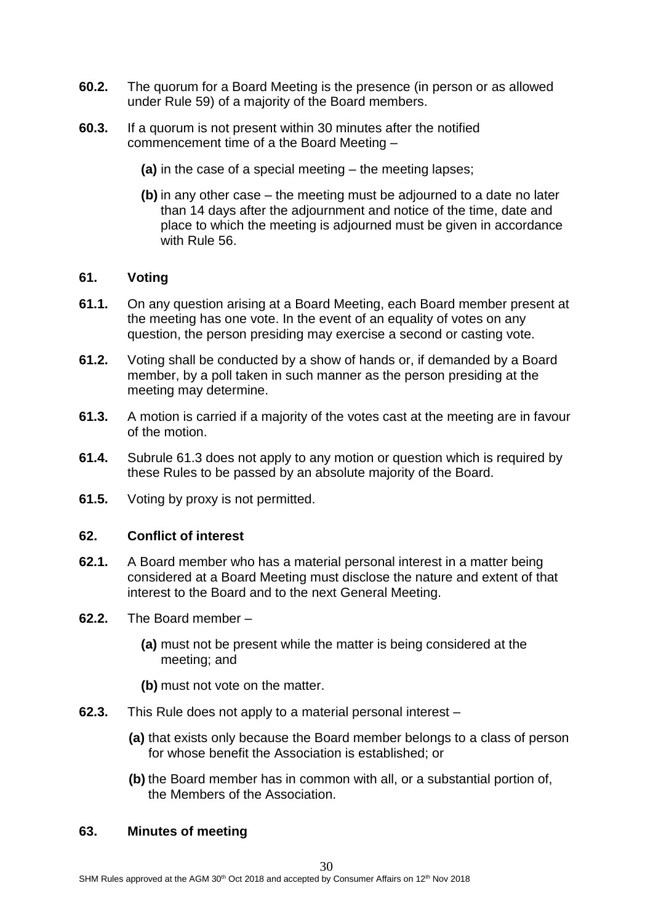- **60.2.** The quorum for a Board Meeting is the presence (in person or as allowed under Rule 59) of a majority of the Board members.
- **60.3.** If a quorum is not present within 30 minutes after the notified commencement time of a the Board Meeting –
	- **(a)** in the case of a special meeting the meeting lapses;
	- **(b)** in any other case the meeting must be adjourned to a date no later than 14 days after the adjournment and notice of the time, date and place to which the meeting is adjourned must be given in accordance with Rule 56.

#### **61. Voting**

- **61.1.** On any question arising at a Board Meeting, each Board member present at the meeting has one vote. In the event of an equality of votes on any question, the person presiding may exercise a second or casting vote.
- **61.2.** Voting shall be conducted by a show of hands or, if demanded by a Board member, by a poll taken in such manner as the person presiding at the meeting may determine.
- **61.3.** A motion is carried if a majority of the votes cast at the meeting are in favour of the motion.
- **61.4.** Subrule 61.3 does not apply to any motion or question which is required by these Rules to be passed by an absolute majority of the Board.
- **61.5.** Voting by proxy is not permitted.

#### **62. Conflict of interest**

- **62.1.** A Board member who has a material personal interest in a matter being considered at a Board Meeting must disclose the nature and extent of that interest to the Board and to the next General Meeting.
- **62.2.** The Board member
	- **(a)** must not be present while the matter is being considered at the meeting; and
	- **(b)** must not vote on the matter.
- **62.3.** This Rule does not apply to a material personal interest
	- **(a)** that exists only because the Board member belongs to a class of person for whose benefit the Association is established; or
	- **(b)** the Board member has in common with all, or a substantial portion of, the Members of the Association.

#### **63. Minutes of meeting**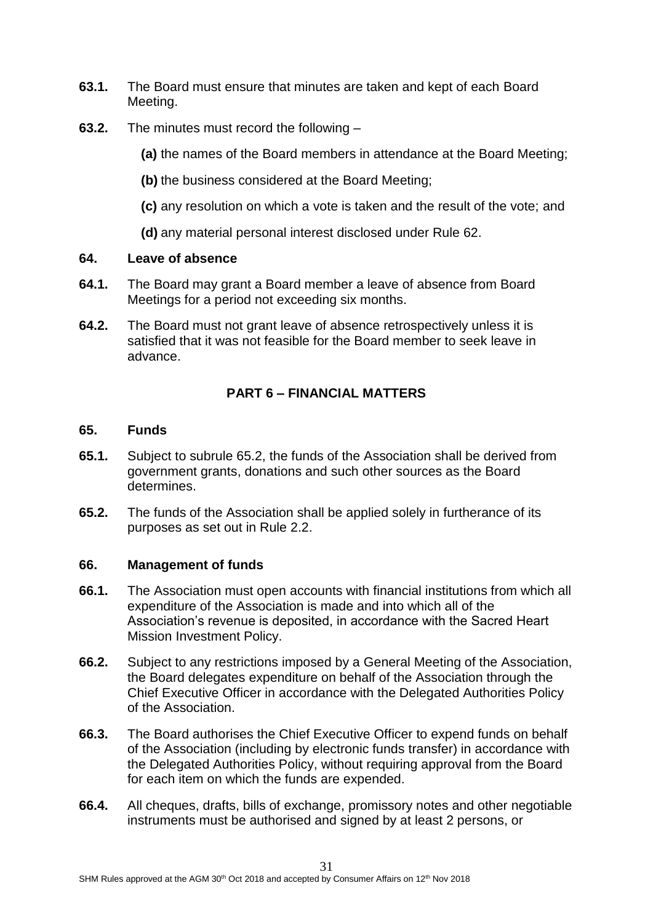- **63.1.** The Board must ensure that minutes are taken and kept of each Board Meeting.
- **63.2.** The minutes must record the following –

**(a)** the names of the Board members in attendance at the Board Meeting;

- **(b)** the business considered at the Board Meeting;
- **(c)** any resolution on which a vote is taken and the result of the vote; and
- **(d)** any material personal interest disclosed under Rule 62.

#### **64. Leave of absence**

- **64.1.** The Board may grant a Board member a leave of absence from Board Meetings for a period not exceeding six months.
- **64.2.** The Board must not grant leave of absence retrospectively unless it is satisfied that it was not feasible for the Board member to seek leave in advance.

# **PART 6 – FINANCIAL MATTERS**

#### **65. Funds**

- **65.1.** Subject to subrule 65.2, the funds of the Association shall be derived from government grants, donations and such other sources as the Board determines.
- **65.2.** The funds of the Association shall be applied solely in furtherance of its purposes as set out in Rule 2.2.

## **66. Management of funds**

- **66.1.** The Association must open accounts with financial institutions from which all expenditure of the Association is made and into which all of the Association's revenue is deposited, in accordance with the Sacred Heart Mission Investment Policy.
- **66.2.** Subject to any restrictions imposed by a General Meeting of the Association, the Board delegates expenditure on behalf of the Association through the Chief Executive Officer in accordance with the Delegated Authorities Policy of the Association.
- **66.3.** The Board authorises the Chief Executive Officer to expend funds on behalf of the Association (including by electronic funds transfer) in accordance with the Delegated Authorities Policy, without requiring approval from the Board for each item on which the funds are expended.
- **66.4.** All cheques, drafts, bills of exchange, promissory notes and other negotiable instruments must be authorised and signed by at least 2 persons, or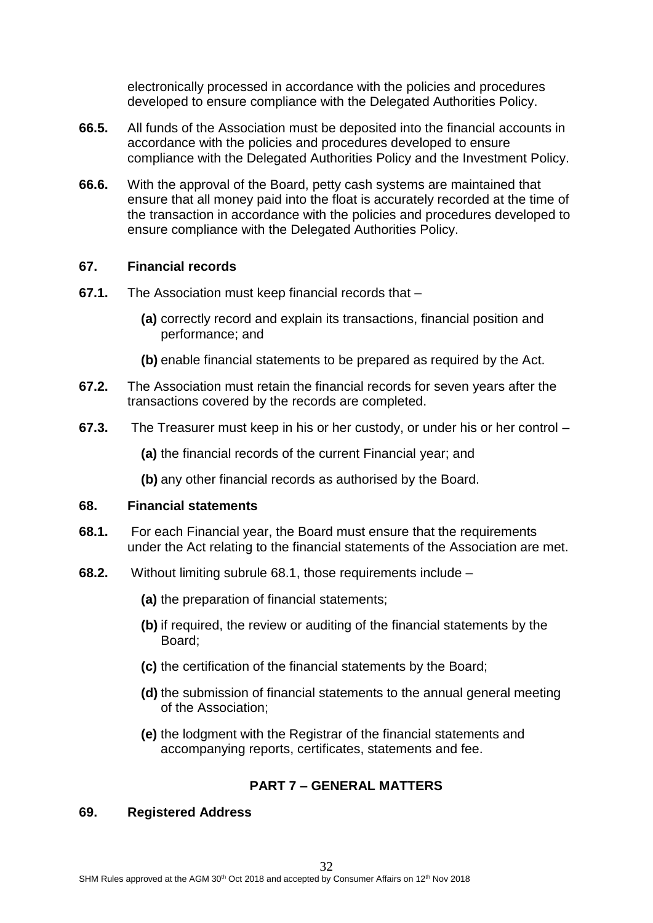electronically processed in accordance with the policies and procedures developed to ensure compliance with the Delegated Authorities Policy.

- **66.5.** All funds of the Association must be deposited into the financial accounts in accordance with the policies and procedures developed to ensure compliance with the Delegated Authorities Policy and the Investment Policy.
- **66.6.** With the approval of the Board, petty cash systems are maintained that ensure that all money paid into the float is accurately recorded at the time of the transaction in accordance with the policies and procedures developed to ensure compliance with the Delegated Authorities Policy.

## **67. Financial records**

- **67.1.** The Association must keep financial records that
	- **(a)** correctly record and explain its transactions, financial position and performance; and
	- **(b)** enable financial statements to be prepared as required by the Act.
- **67.2.** The Association must retain the financial records for seven years after the transactions covered by the records are completed.
- **67.3.** The Treasurer must keep in his or her custody, or under his or her control –

**(a)** the financial records of the current Financial year; and

**(b)** any other financial records as authorised by the Board.

## **68. Financial statements**

- **68.1.** For each Financial year, the Board must ensure that the requirements under the Act relating to the financial statements of the Association are met.
- **68.2.** Without limiting subrule 68.1, those requirements include
	- **(a)** the preparation of financial statements;
	- **(b)** if required, the review or auditing of the financial statements by the Board;
	- **(c)** the certification of the financial statements by the Board;
	- **(d)** the submission of financial statements to the annual general meeting of the Association;
	- **(e)** the lodgment with the Registrar of the financial statements and accompanying reports, certificates, statements and fee.

# **PART 7 – GENERAL MATTERS**

## **69. Registered Address**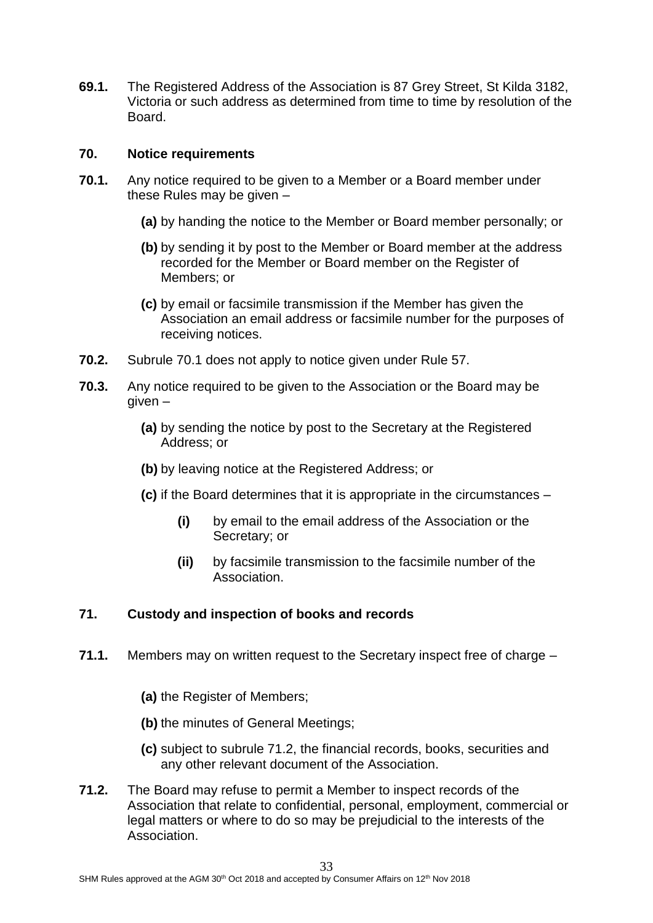**69.1.** The Registered Address of the Association is 87 Grey Street, St Kilda 3182, Victoria or such address as determined from time to time by resolution of the Board.

#### **70. Notice requirements**

- **70.1.** Any notice required to be given to a Member or a Board member under these Rules may be given –
	- **(a)** by handing the notice to the Member or Board member personally; or
	- **(b)** by sending it by post to the Member or Board member at the address recorded for the Member or Board member on the Register of Members; or
	- **(c)** by email or facsimile transmission if the Member has given the Association an email address or facsimile number for the purposes of receiving notices.
- **70.2.** Subrule 70.1 does not apply to notice given under Rule 57.
- **70.3.** Any notice required to be given to the Association or the Board may be given –
	- **(a)** by sending the notice by post to the Secretary at the Registered Address; or
	- **(b)** by leaving notice at the Registered Address; or
	- **(c)** if the Board determines that it is appropriate in the circumstances
		- **(i)** by email to the email address of the Association or the Secretary; or
		- **(ii)** by facsimile transmission to the facsimile number of the Association.

## **71. Custody and inspection of books and records**

- **71.1.** Members may on written request to the Secretary inspect free of charge
	- **(a)** the Register of Members;
	- **(b)** the minutes of General Meetings;
	- **(c)** subject to subrule 71.2, the financial records, books, securities and any other relevant document of the Association.
- **71.2.** The Board may refuse to permit a Member to inspect records of the Association that relate to confidential, personal, employment, commercial or legal matters or where to do so may be prejudicial to the interests of the Association.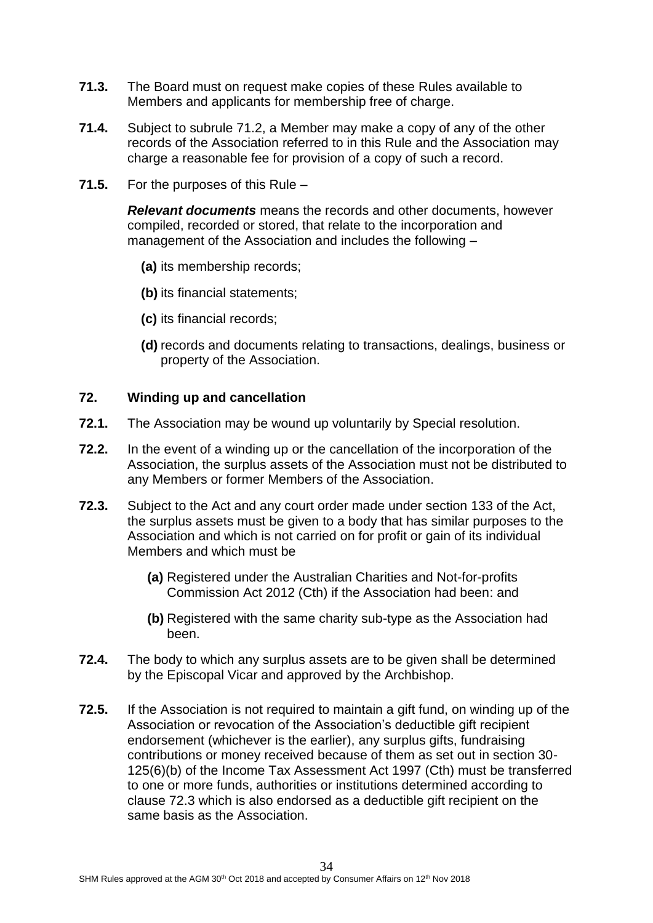- **71.3.** The Board must on request make copies of these Rules available to Members and applicants for membership free of charge.
- **71.4.** Subject to subrule 71.2, a Member may make a copy of any of the other records of the Association referred to in this Rule and the Association may charge a reasonable fee for provision of a copy of such a record.
- **71.5.** For the purposes of this Rule –

*Relevant documents* means the records and other documents, however compiled, recorded or stored, that relate to the incorporation and management of the Association and includes the following –

- **(a)** its membership records;
- **(b)** its financial statements;
- **(c)** its financial records;
- **(d)** records and documents relating to transactions, dealings, business or property of the Association.

#### **72. Winding up and cancellation**

- **72.1.** The Association may be wound up voluntarily by Special resolution.
- **72.2.** In the event of a winding up or the cancellation of the incorporation of the Association, the surplus assets of the Association must not be distributed to any Members or former Members of the Association.
- **72.3.** Subject to the Act and any court order made under section 133 of the Act, the surplus assets must be given to a body that has similar purposes to the Association and which is not carried on for profit or gain of its individual Members and which must be
	- **(a)** Registered under the Australian Charities and Not-for-profits Commission Act 2012 (Cth) if the Association had been: and
	- **(b)** Registered with the same charity sub-type as the Association had been.
- **72.4.** The body to which any surplus assets are to be given shall be determined by the Episcopal Vicar and approved by the Archbishop.
- **72.5.** If the Association is not required to maintain a gift fund, on winding up of the Association or revocation of the Association's deductible gift recipient endorsement (whichever is the earlier), any surplus gifts, fundraising contributions or money received because of them as set out in section 30- 125(6)(b) of the Income Tax Assessment Act 1997 (Cth) must be transferred to one or more funds, authorities or institutions determined according to clause 72.3 which is also endorsed as a deductible gift recipient on the same basis as the Association.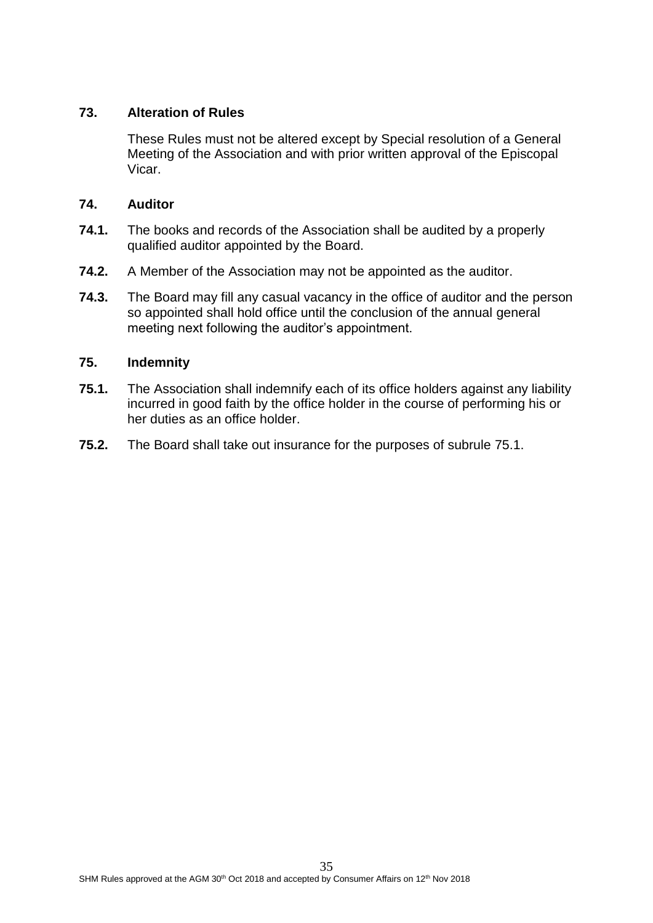# **73. Alteration of Rules**

These Rules must not be altered except by Special resolution of a General Meeting of the Association and with prior written approval of the Episcopal Vicar.

## **74. Auditor**

- **74.1.** The books and records of the Association shall be audited by a properly qualified auditor appointed by the Board.
- **74.2.** A Member of the Association may not be appointed as the auditor.
- **74.3.** The Board may fill any casual vacancy in the office of auditor and the person so appointed shall hold office until the conclusion of the annual general meeting next following the auditor's appointment.

## **75. Indemnity**

- **75.1.** The Association shall indemnify each of its office holders against any liability incurred in good faith by the office holder in the course of performing his or her duties as an office holder.
- **75.2.** The Board shall take out insurance for the purposes of subrule 75.1.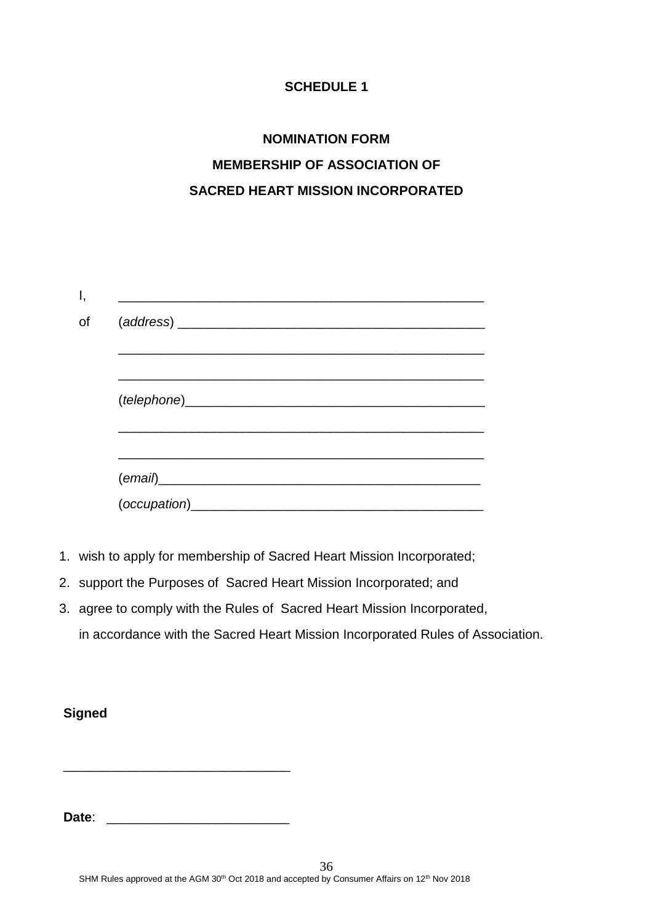# **SCHEDULE 1**

# **NOMINATION FORM MEMBERSHIP OF ASSOCIATION OF SACRED HEART MISSION INCORPORATED**

| (email) |  |  |
|---------|--|--|
|         |  |  |
|         |  |  |
|         |  |  |
|         |  |  |
|         |  |  |
|         |  |  |

- 1. wish to apply for membership of Sacred Heart Mission Incorporated;
- 2. support the Purposes of Sacred Heart Mission Incorporated; and
- 3. agree to comply with the Rules of Sacred Heart Mission Incorporated, in accordance with the Sacred Heart Mission Incorporated Rules of Association.

# **Signed**

**Date**: *Date*: *Contract***: <b>***CONTRACTE* 

\_\_\_\_\_\_\_\_\_\_\_\_\_\_\_\_\_\_\_\_\_\_\_\_\_\_\_\_\_\_\_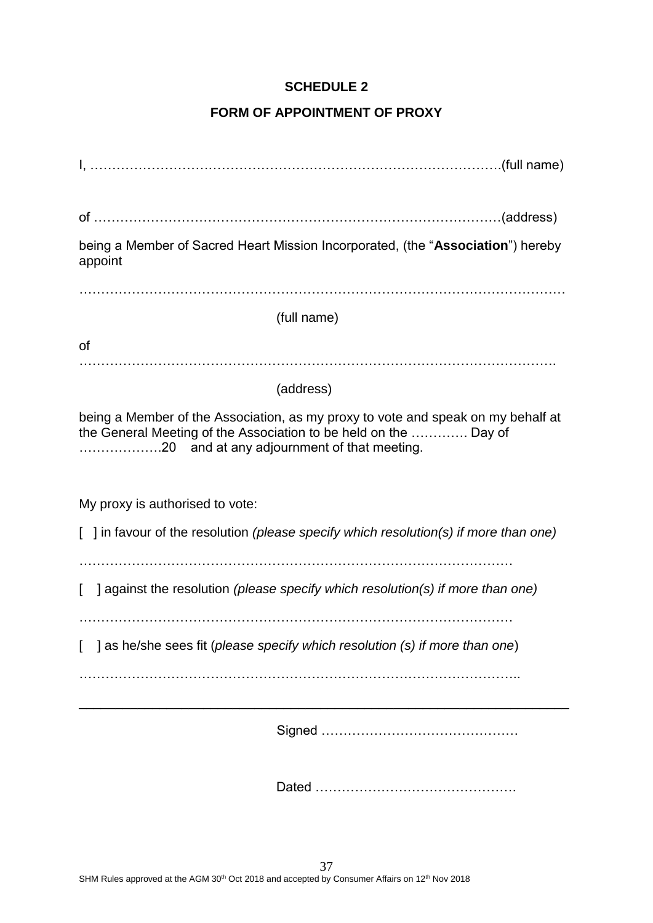# **SCHEDULE 2**

# **FORM OF APPOINTMENT OF PROXY**

| being a Member of Sacred Heart Mission Incorporated, (the "Association") hereby<br>appoint                                                           |
|------------------------------------------------------------------------------------------------------------------------------------------------------|
|                                                                                                                                                      |
| (full name)                                                                                                                                          |
| <b>of</b>                                                                                                                                            |
|                                                                                                                                                      |
| (address)                                                                                                                                            |
| being a Member of the Association, as my proxy to vote and speak on my behalf at<br>the General Meeting of the Association to be held on the  Day of |
| My proxy is authorised to vote:<br>] in favour of the resolution (please specify which resolution(s) if more than one)                               |
| against the resolution (please specify which resolution(s) if more than one)                                                                         |
| [ ] as he/she sees fit (please specify which resolution (s) if more than one)                                                                        |
|                                                                                                                                                      |
|                                                                                                                                                      |